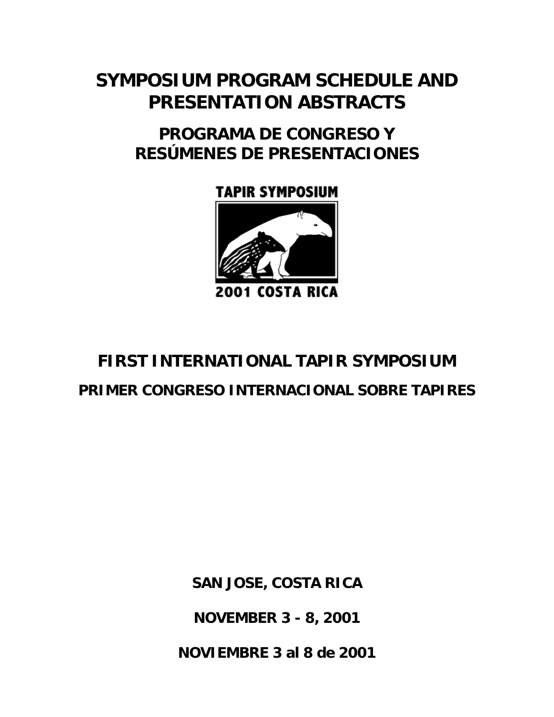# **SYMPOSIUM PROGRAM SCHEDULE AND PRESENTATION ABSTRACTS**

# **PROGRAMA DE CONGRESO Y RESÚMENES DE PRESENTACIONES**

# **TAPIR SYMPOSIUM**



**2001 COSTA RICA** 

# **FIRST INTERNATIONAL TAPIR SYMPOSIUM PRIMER CONGRESO INTERNACIONAL SOBRE TAPIRES**

**SAN JOSE, COSTA RICA** 

**NOVEMBER 3 - 8, 2001** 

**NOVIEMBRE 3 al 8 de 2001**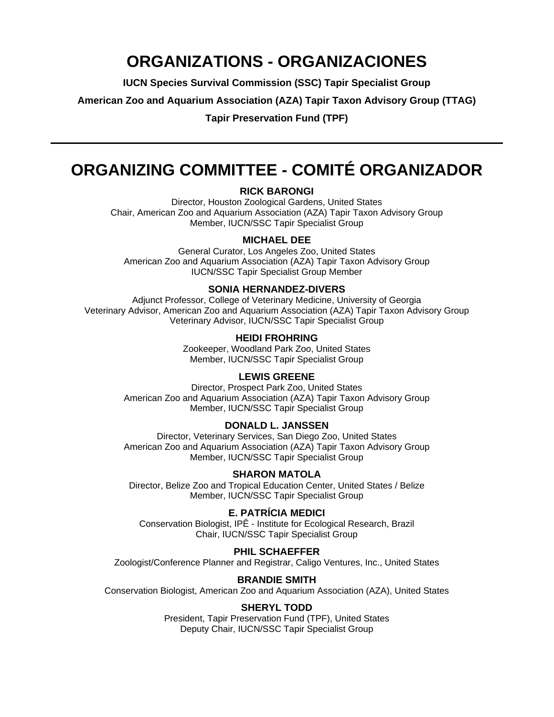# **ORGANIZATIONS - ORGANIZACIONES**

**IUCN Species Survival Commission (SSC) Tapir Specialist Group** 

**American Zoo and Aquarium Association (AZA) Tapir Taxon Advisory Group (TTAG)** 

**Tapir Preservation Fund (TPF)** 

# **ORGANIZING COMMITTEE - COMITÉ ORGANIZADOR**

#### **RICK BARONGI**

Director, Houston Zoological Gardens, United States Chair, American Zoo and Aquarium Association (AZA) Tapir Taxon Advisory Group Member, IUCN/SSC Tapir Specialist Group

### **MICHAEL DEE**

General Curator, Los Angeles Zoo, United States American Zoo and Aquarium Association (AZA) Tapir Taxon Advisory Group IUCN/SSC Tapir Specialist Group Member

#### **SONIA HERNANDEZ-DIVERS**

Adjunct Professor, College of Veterinary Medicine, University of Georgia Veterinary Advisor, American Zoo and Aquarium Association (AZA) Tapir Taxon Advisory Group Veterinary Advisor, IUCN/SSC Tapir Specialist Group

#### **HEIDI FROHRING**

Zookeeper, Woodland Park Zoo, United States Member, IUCN/SSC Tapir Specialist Group

#### **LEWIS GREENE**

Director, Prospect Park Zoo, United States American Zoo and Aquarium Association (AZA) Tapir Taxon Advisory Group Member, IUCN/SSC Tapir Specialist Group

### **DONALD L. JANSSEN**

Director, Veterinary Services, San Diego Zoo, United States American Zoo and Aquarium Association (AZA) Tapir Taxon Advisory Group Member, IUCN/SSC Tapir Specialist Group

## **SHARON MATOLA**

Director, Belize Zoo and Tropical Education Center, United States / Belize Member, IUCN/SSC Tapir Specialist Group

## **E. PATRÍCIA MEDICI**

Conservation Biologist, IPÊ - Institute for Ecological Research, Brazil Chair, IUCN/SSC Tapir Specialist Group

#### **PHIL SCHAEFFER**

Zoologist/Conference Planner and Registrar, Caligo Ventures, Inc., United States

#### **BRANDIE SMITH**

Conservation Biologist, American Zoo and Aquarium Association (AZA), United States

#### **SHERYL TODD**

President, Tapir Preservation Fund (TPF), United States Deputy Chair, IUCN/SSC Tapir Specialist Group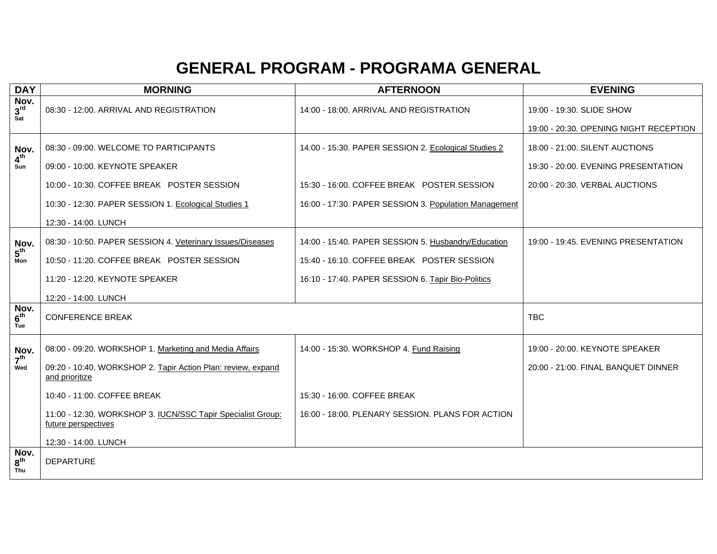# **GENERAL PROGRAM - PROGRAMA GENERAL**

| <b>DAY</b>                     | <b>MORNING</b>                                                                     | <b>AFTERNOON</b>                                      | <b>EVENING</b>                         |
|--------------------------------|------------------------------------------------------------------------------------|-------------------------------------------------------|----------------------------------------|
| Nov.<br>3 <sup>rd</sup><br>Sat | 08:30 - 12:00. ARRIVAL AND REGISTRATION                                            | 14:00 - 18:00. ARRIVAL AND REGISTRATION               | 19:00 - 19:30. SLIDE SHOW              |
|                                |                                                                                    |                                                       | 19:00 - 20:30. OPENING NIGHT RECEPTION |
| Nov.                           | 08:30 - 09:00. WELCOME TO PARTICIPANTS                                             | 14:00 - 15:30. PAPER SESSION 2. Ecological Studies 2  | 18:00 - 21:00. SILENT AUCTIONS         |
| $4^{\text{th}}$<br>Sun         | 09:00 - 10:00. KEYNOTE SPEAKER                                                     |                                                       | 19:30 - 20:00. EVENING PRESENTATION    |
|                                | 10:00 - 10:30. COFFEE BREAK POSTER SESSION                                         | 15:30 - 16:00. COFFEE BREAK POSTER SESSION            | 20:00 - 20:30. VERBAL AUCTIONS         |
|                                | 10:30 - 12:30. PAPER SESSION 1. Ecological Studies 1                               | 16:00 - 17:30. PAPER SESSION 3. Population Management |                                        |
|                                | 12:30 - 14:00. LUNCH                                                               |                                                       |                                        |
| Nov.                           | 08:30 - 10:50. PAPER SESSION 4. Veterinary Issues/Diseases                         | 14:00 - 15:40. PAPER SESSION 5. Husbandry/Education   | 19:00 - 19:45. EVENING PRESENTATION    |
| $5^{\text{th}}$<br>Mon         | 10:50 - 11:20. COFFEE BREAK POSTER SESSION                                         | 15:40 - 16:10, COFFEE BREAK POSTER SESSION            |                                        |
|                                | 11:20 - 12:20. KEYNOTE SPEAKER                                                     | 16:10 - 17:40. PAPER SESSION 6. Tapir Bio-Politics    |                                        |
|                                | 12:20 - 14:00. LUNCH                                                               |                                                       |                                        |
| Nov.<br>6 <sup>th</sup><br>Tue | <b>CONFERENCE BREAK</b>                                                            |                                                       | <b>TBC</b>                             |
| Nov.                           | 08:00 - 09:20. WORKSHOP 1. Marketing and Media Affairs                             | 14:00 - 15:30. WORKSHOP 4. Fund Raising               | 19:00 - 20:00. KEYNOTE SPEAKER         |
| 7 <sup>th</sup><br>Wed         | 09:20 - 10:40. WORKSHOP 2. Tapir Action Plan: review, expand<br>and prioritize     |                                                       | 20:00 - 21:00. FINAL BANQUET DINNER    |
|                                | 10:40 - 11:00. COFFEE BREAK                                                        | 15:30 - 16:00. COFFEE BREAK                           |                                        |
|                                | 11:00 - 12:30. WORKSHOP 3. IUCN/SSC Tapir Specialist Group:<br>future perspectives | 16:00 - 18:00. PLENARY SESSION. PLANS FOR ACTION      |                                        |
|                                | 12:30 - 14:00. LUNCH                                                               |                                                       |                                        |
| Nov.<br>8 <sup>th</sup><br>Thu | <b>DEPARTURE</b>                                                                   |                                                       |                                        |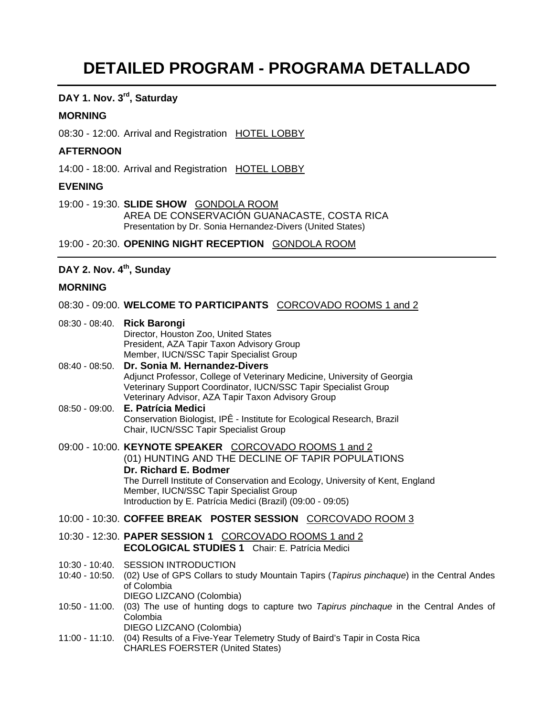## **DETAILED PROGRAM - PROGRAMA DETALLADO**

## **DAY 1. Nov. 3rd, Saturday**

#### **MORNING**

08:30 - 12:00. Arrival and Registration HOTEL LOBBY

#### **AFTERNOON**

14:00 - 18:00. Arrival and Registration HOTEL LOBBY

### **EVENING**

19:00 - 19:30. **SLIDE SHOW** GONDOLA ROOM AREA DE CONSERVACIÓN GUANACASTE, COSTA RICA Presentation by Dr. Sonia Hernandez-Divers (United States)

19:00 - 20:30. **OPENING NIGHT RECEPTION** GONDOLA ROOM

## DAY 2. Nov. 4<sup>th</sup>, Sunday

## **MORNING**

| MURNING        |                                                                                                                                                                                                                                                                                                                                  |
|----------------|----------------------------------------------------------------------------------------------------------------------------------------------------------------------------------------------------------------------------------------------------------------------------------------------------------------------------------|
|                | 08:30 - 09:00. WELCOME TO PARTICIPANTS  CORCOVADO ROOMS 1 and 2                                                                                                                                                                                                                                                                  |
|                | Director, Houston Zoo, United States<br>President, AZA Tapir Taxon Advisory Group<br>Member, IUCN/SSC Tapir Specialist Group                                                                                                                                                                                                     |
| 08:40 - 08:50. | Dr. Sonia M. Hernandez-Divers<br>Adjunct Professor, College of Veterinary Medicine, University of Georgia<br>Veterinary Support Coordinator, IUCN/SSC Tapir Specialist Group<br>Veterinary Advisor, AZA Tapir Taxon Advisory Group                                                                                               |
|                | 08:50 - 09:00. E. Patrícia Medici<br>Conservation Biologist, IPÊ - Institute for Ecological Research, Brazil<br>Chair, IUCN/SSC Tapir Specialist Group                                                                                                                                                                           |
|                | 09:00 - 10:00. KEYNOTE SPEAKER CORCOVADO ROOMS 1 and 2<br>(01) HUNTING AND THE DECLINE OF TAPIR POPULATIONS<br>Dr. Richard E. Bodmer<br>The Durrell Institute of Conservation and Ecology, University of Kent, England<br>Member, IUCN/SSC Tapir Specialist Group<br>Introduction by E. Patrícia Medici (Brazil) (09:00 - 09:05) |
|                | 10:00 - 10:30. COFFEE BREAK POSTER SESSION CORCOVADO ROOM 3                                                                                                                                                                                                                                                                      |
|                | 10:30 - 12:30. PAPER SESSION 1 CORCOVADO ROOMS 1 and 2<br><b>ECOLOGICAL STUDIES 1</b> Chair: E. Patrícia Medici                                                                                                                                                                                                                  |
| 10:40 - 10:50. | 10:30 - 10:40. SESSION INTRODUCTION<br>(02) Use of GPS Collars to study Mountain Tapirs (Tapirus pinchaque) in the Central Andes<br>of Colombia                                                                                                                                                                                  |

- DIEGO LIZCANO (Colombia)
- 10:50 11:00. (03) The use of hunting dogs to capture two *Tapirus pinchaque* in the Central Andes of Colombia DIEGO LIZCANO (Colombia)
- 11:00 11:10. (04) Results of a Five-Year Telemetry Study of Baird's Tapir in Costa Rica CHARLES FOERSTER (United States)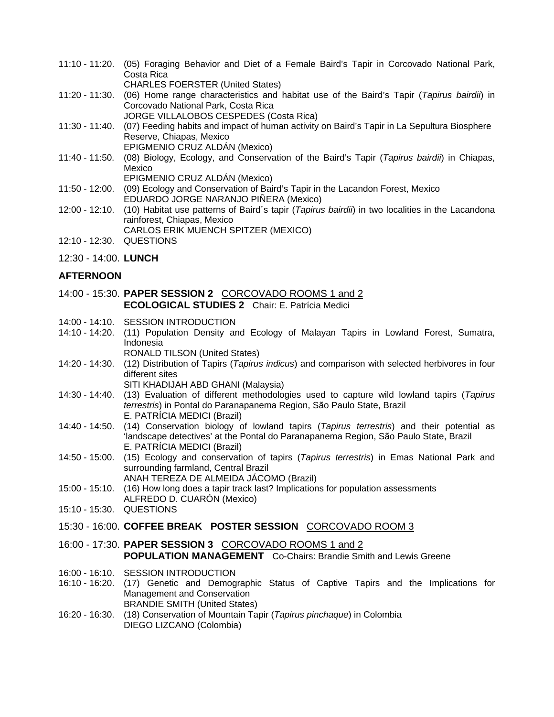- 11:10 11:20. (05) Foraging Behavior and Diet of a Female Baird's Tapir in Corcovado National Park, Costa Rica CHARLES FOERSTER (United States)
- 11:20 11:30. (06) Home range characteristics and habitat use of the Baird's Tapir (*Tapirus bairdii*) in Corcovado National Park, Costa Rica
	- JORGE VILLALOBOS CESPEDES (Costa Rica)
- 11:30 11:40. (07) Feeding habits and impact of human activity on Baird's Tapir in La Sepultura Biosphere Reserve, Chiapas, Mexico EPIGMENIO CRUZ ALDÁN (Mexico)
- 11:40 11:50. (08) Biology, Ecology, and Conservation of the Baird's Tapir (*Tapirus bairdii*) in Chiapas, Mexico
	- EPIGMENIO CRUZ ALDÁN (Mexico)

```
11:50 - 12:00. (09) Ecology and Conservation of Baird's Tapir in the Lacandon Forest, Mexico 
              EDUARDO JORGE NARANJO PIÑERA (Mexico)
```
- 12:00 12:10. (10) Habitat use patterns of Baird´s tapir (*Tapirus bairdii*) in two localities in the Lacandona rainforest, Chiapas, Mexico CARLOS ERIK MUENCH SPITZER (MEXICO)
- 12:10 12:30. QUESTIONS
- 12:30 14:00. **LUNCH**

## **AFTERNOON**

- 14:00 15:30. **PAPER SESSION 2** CORCOVADO ROOMS 1 and 2 **ECOLOGICAL STUDIES 2** Chair: E. Patrícia Medici
- 14:00 14:10. SESSION INTRODUCTION
- 14:10 14:20. (11) Population Density and Ecology of Malayan Tapirs in Lowland Forest, Sumatra, Indonesia
	- RONALD TILSON (United States)
- 14:20 14:30. (12) Distribution of Tapirs (*Tapirus indicus*) and comparison with selected herbivores in four different sites
	- SITI KHADIJAH ABD GHANI (Malaysia)
- 14:30 14:40. (13) Evaluation of different methodologies used to capture wild lowland tapirs (*Tapirus terrestris*) in Pontal do Paranapanema Region, São Paulo State, Brazil E. PATRÍCIA MEDICI (Brazil)
- 14:40 14:50. (14) Conservation biology of lowland tapirs (*Tapirus terrestris*) and their potential as 'landscape detectives' at the Pontal do Paranapanema Region, São Paulo State, Brazil E. PATRÍCIA MEDICI (Brazil)
- 14:50 15:00. (15) Ecology and conservation of tapirs (*Tapirus terrestris*) in Emas National Park and surrounding farmland, Central Brazil
	- ANAH TEREZA DE ALMEIDA JÁCOMO (Brazil)
- 15:00 15:10. (16) How long does a tapir track last? Implications for population assessments ALFREDO D. CUARÓN (Mexico)
- 15:10 15:30. QUESTIONS
- 15:30 16:00. **COFFEE BREAK POSTER SESSION** CORCOVADO ROOM 3
- 16:00 17:30. **PAPER SESSION 3** CORCOVADO ROOMS 1 and 2 **POPULATION MANAGEMENT** Co-Chairs: Brandie Smith and Lewis Greene
- 16:00 16:10. SESSION INTRODUCTION
- 16:10 16:20. (17) Genetic and Demographic Status of Captive Tapirs and the Implications for Management and Conservation BRANDIE SMITH (United States)
- 16:20 16:30. (18) Conservation of Mountain Tapir (*Tapirus pinchaque*) in Colombia DIEGO LIZCANO (Colombia)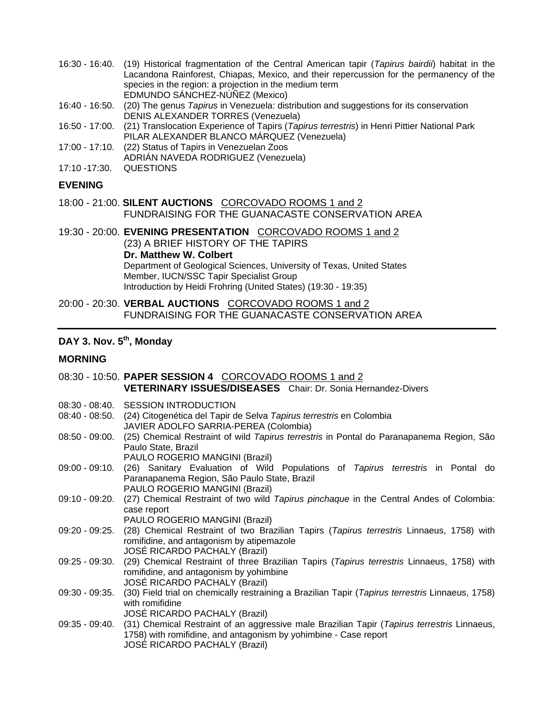- 16:30 16:40. (19) Historical fragmentation of the Central American tapir (*Tapirus bairdii*) habitat in the Lacandona Rainforest, Chiapas, Mexico, and their repercussion for the permanency of the species in the region: a projection in the medium term EDMUNDO SÁNCHEZ-NÚÑEZ (Mexico)
- 16:40 16:50. (20) The genus *Tapirus* in Venezuela: distribution and suggestions for its conservation DENIS ALEXANDER TORRES (Venezuela)
- 16:50 17:00. (21) Translocation Experience of Tapirs (*Tapirus terrestris*) in Henri Pittier National Park PILAR ALEXANDER BLANCO MÁRQUEZ (Venezuela)
- 17:00 17:10. (22) Status of Tapirs in Venezuelan Zoos
- ADRIÁN NAVEDA RODRIGUEZ (Venezuela)
- 17:10 -17:30. QUESTIONS

#### **EVENING**

- 18:00 21:00. **SILENT AUCTIONS** CORCOVADO ROOMS 1 and 2 FUNDRAISING FOR THE GUANACASTE CONSERVATION AREA
- 19:30 20:00. **EVENING PRESENTATION** CORCOVADO ROOMS 1 and 2 (23) A BRIEF HISTORY OF THE TAPIRS **Dr. Matthew W. Colbert**  Department of Geological Sciences, University of Texas, United States Member, IUCN/SSC Tapir Specialist Group Introduction by Heidi Frohring (United States) (19:30 - 19:35)
- 20:00 20:30. **VERBAL AUCTIONS** CORCOVADO ROOMS 1 and 2 FUNDRAISING FOR THE GUANACASTE CONSERVATION AREA

## DAY 3. Nov. 5<sup>th</sup>, Monday

## **MORNING**

|                  | 08:30 - 10:50. PAPER SESSION 4 CORCOVADO ROOMS 1 and 2                                                                                                                                                          |
|------------------|-----------------------------------------------------------------------------------------------------------------------------------------------------------------------------------------------------------------|
|                  | <b>VETERINARY ISSUES/DISEASES</b> Chair: Dr. Sonia Hernandez-Divers                                                                                                                                             |
|                  | 08:30 - 08:40. SESSION INTRODUCTION<br>08:40 - 08:50. (24) Citogenética del Tapir de Selva Tapirus terrestris en Colombia                                                                                       |
|                  | JAVIER ADOLFO SARRIA-PEREA (Colombia)<br>08:50 - 09:00. (25) Chemical Restraint of wild Tapirus terrestris in Pontal do Paranapanema Region, São<br>Paulo State, Brazil<br>PAULO ROGERIO MANGINI (Brazil)       |
| 09:00 - 09:10.   | (26) Sanitary Evaluation of Wild Populations of Tapirus terrestris in Pontal do<br>Paranapanema Region, São Paulo State, Brazil<br>PAULO ROGERIO MANGINI (Brazil)                                               |
| 09:10 - 09:20.   | (27) Chemical Restraint of two wild Tapirus pinchaque in the Central Andes of Colombia:<br>case report<br>PAULO ROGERIO MANGINI (Brazil)                                                                        |
|                  | 09:20 - 09:25. (28) Chemical Restraint of two Brazilian Tapirs (Tapirus terrestris Linnaeus, 1758) with<br>romifidine, and antagonism by atipemazole<br>JOSÉ RICARDO PACHALY (Brazil)                           |
|                  | 09:25 - 09:30. (29) Chemical Restraint of three Brazilian Tapirs (Tapirus terrestris Linnaeus, 1758) with<br>romifidine, and antagonism by yohimbine<br><b>JOSÉ RICARDO PACHALY (Brazil)</b>                    |
| $09:30 - 09:35.$ | (30) Field trial on chemically restraining a Brazilian Tapir (Tapirus terrestris Linnaeus, 1758)<br>with romifidine<br>JOSÉ RICARDO PACHALY (Brazil)                                                            |
|                  | 09:35 - 09:40. (31) Chemical Restraint of an aggressive male Brazilian Tapir (Tapirus terrestris Linnaeus,<br>1758) with romifidine, and antagonism by yohimbine - Case report<br>JOSÉ RICARDO PACHALY (Brazil) |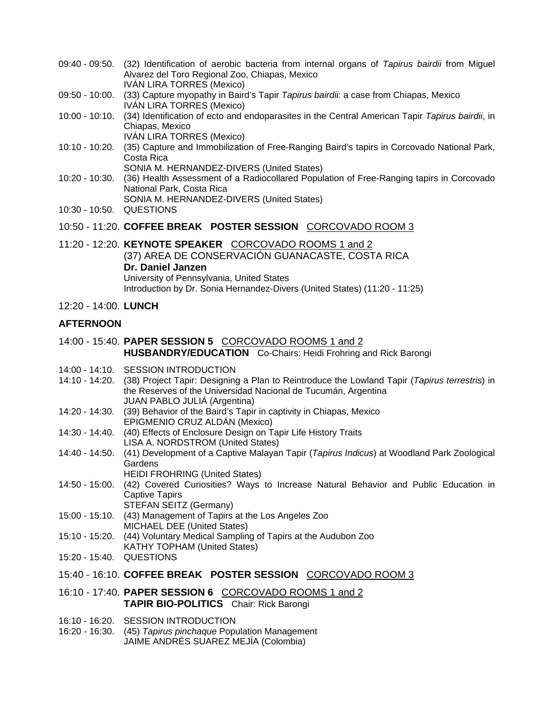- 09:40 09:50. (32) Identification of aerobic bacteria from internal organs of *Tapirus bairdii* from Miguel Alvarez del Toro Regional Zoo, Chiapas, Mexico IVÁN LIRA TORRES (Mexico)
- 09:50 10:00. (33) Capture myopathy in Baird's Tapir *Tapirus bairdii*: a case from Chiapas, Mexico IVÁN LIRA TORRES (Mexico)
- 10:00 10:10. (34) Identification of ecto and endoparasites in the Central American Tapir *Tapirus bairdii*, in Chiapas, Mexico IVÁN LIRA TORRES (Mexico)
- 10:10 10:20. (35) Capture and Immobilization of Free-Ranging Baird's tapirs in Corcovado National Park, Costa Rica SONIA M. HERNANDEZ-DIVERS (United States)
- 10:20 10:30. (36) Health Assessment of a Radiocollared Population of Free-Ranging tapirs in Corcovado National Park, Costa Rica SONIA M. HERNANDEZ-DIVERS (United States)
- 10:30 10:50. QUESTIONS
- 10:50 11:20. **COFFEE BREAK POSTER SESSION** CORCOVADO ROOM 3
- 11:20 12:20. **KEYNOTE SPEAKER** CORCOVADO ROOMS 1 and 2 (37) AREA DE CONSERVACIÓN GUANACASTE, COSTA RICA **Dr. Daniel Janzen**  University of Pennsylvania, United States Introduction by Dr. Sonia Hernandez-Divers (United States) (11:20 - 11:25)
- 12:20 14:00. **LUNCH**

### **AFTERNOON**

- 14:00 15:40. **PAPER SESSION 5** CORCOVADO ROOMS 1 and 2 **HUSBANDRY/EDUCATION** Co-Chairs: Heidi Frohring and Rick Barongi
- 14:00 14:10. SESSION INTRODUCTION
- 14:10 14:20. (38) Project Tapir: Designing a Plan to Reintroduce the Lowland Tapir (*Tapirus terrestris*) in the Reserves of the Universidad Nacional de Tucumán, Argentina JUAN PABLO JULIÁ (Argentina)
- 14:20 14:30. (39) Behavior of the Baird's Tapir in captivity in Chiapas, Mexico EPIGMENIO CRUZ ALDÁN (Mexico)
- 14:30 14:40. (40) Effects of Enclosure Design on Tapir Life History Traits LISA A. NORDSTROM (United States)
- 14:40 14:50. (41) Development of a Captive Malayan Tapir (*Tapirus Indicus*) at Woodland Park Zoological **Gardens** 
	- HEIDI FROHRING (United States)
- 14:50 15:00. (42) Covered Curiosities? Ways to Increase Natural Behavior and Public Education in Captive Tapirs STEFAN SEITZ (Germany)
- 15:00 15:10. (43) Management of Tapirs at the Los Angeles Zoo MICHAEL DEE (United States)
- 15:10 15:20. (44) Voluntary Medical Sampling of Tapirs at the Audubon Zoo KATHY TOPHAM (United States)
- 15:20 15:40. QUESTIONS
- 15:40 16:10. **COFFEE BREAK POSTER SESSION** CORCOVADO ROOM 3
- 16:10 17:40. **PAPER SESSION 6** CORCOVADO ROOMS 1 and 2 **TAPIR BIO-POLITICS** Chair: Rick Barongi
- 16:10 16:20. SESSION INTRODUCTION
- 16:20 16:30. (45) *Tapirus pinchaque* Population Management JAIME ANDRÉS SUAREZ MEJÍA (Colombia)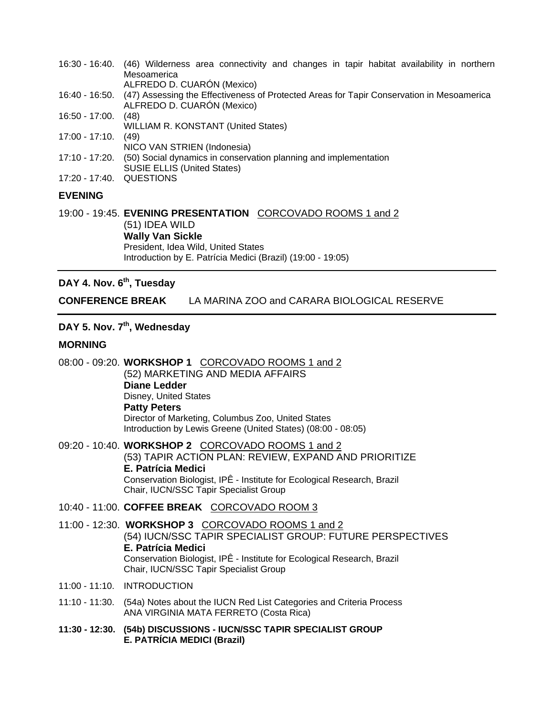- 16:30 16:40. (46) Wilderness area connectivity and changes in tapir habitat availability in northern **Mesoamerica** ALFREDO D. CUARÓN (Mexico)
- 16:40 16:50. (47) Assessing the Effectiveness of Protected Areas for Tapir Conservation in Mesoamerica ALFREDO D. CUARÓN (Mexico)
- 16:50 17:00. (48)
- WILLIAM R. KONSTANT (United States)
- 17:00 17:10. (49) NICO VAN STRIEN (Indonesia)
- 17:10 17:20. (50) Social dynamics in conservation planning and implementation SUSIE ELLIS (United States)
- 17:20 17:40. QUESTIONS

### **EVENING**

19:00 - 19:45. **EVENING PRESENTATION** CORCOVADO ROOMS 1 and 2 (51) IDEA WILD **Wally Van Sickle**  President, Idea Wild, United States Introduction by E. Patrícia Medici (Brazil) (19:00 - 19:05)

## DAY 4. Nov. 6<sup>th</sup>, Tuesday

**CONFERENCE BREAK** LA MARINA ZOO and CARARA BIOLOGICAL RESERVE

## DAY 5. Nov. 7<sup>th</sup>, Wednesday

#### **MORNING**

- 08:00 09:20. **WORKSHOP 1** CORCOVADO ROOMS 1 and 2 (52) MARKETING AND MEDIA AFFAIRS **Diane Ledder** Disney, United States **Patty Peters** Director of Marketing, Columbus Zoo, United States Introduction by Lewis Greene (United States) (08:00 - 08:05)
- 09:20 10:40. **WORKSHOP 2** CORCOVADO ROOMS 1 and 2 (53) TAPIR ACTION PLAN: REVIEW, EXPAND AND PRIORITIZE **E. Patrícia Medici**  Conservation Biologist, IPÊ - Institute for Ecological Research, Brazil Chair, IUCN/SSC Tapir Specialist Group
- 10:40 11:00. **COFFEE BREAK** CORCOVADO ROOM 3
- 11:00 12:30. **WORKSHOP 3** CORCOVADO ROOMS 1 and 2 (54) IUCN/SSC TAPIR SPECIALIST GROUP: FUTURE PERSPECTIVES **E. Patrícia Medici**  Conservation Biologist, IPÊ - Institute for Ecological Research, Brazil Chair, IUCN/SSC Tapir Specialist Group
- 11:00 11:10. INTRODUCTION
- 11:10 11:30. (54a) Notes about the IUCN Red List Categories and Criteria Process ANA VIRGINIA MATA FERRETO (Costa Rica)
- **11:30 12:30. (54b) DISCUSSIONS IUCN/SSC TAPIR SPECIALIST GROUP E. PATRÍCIA MEDICI (Brazil)**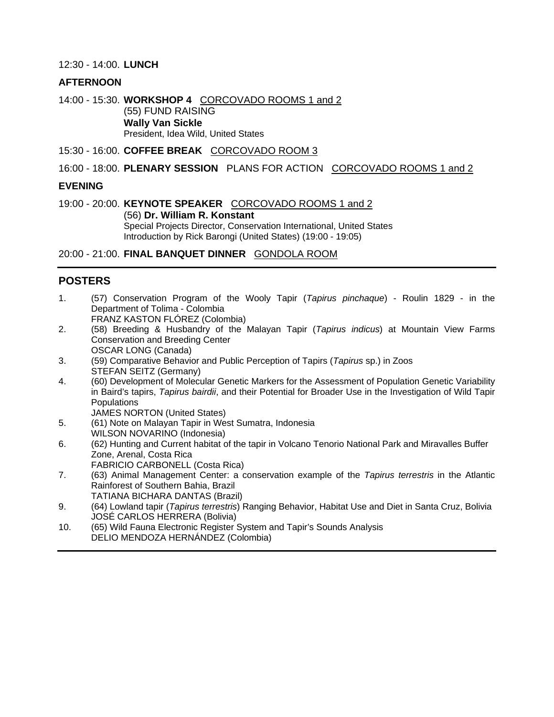#### 12:30 - 14:00. **LUNCH**

#### **AFTERNOON**

14:00 - 15:30. **WORKSHOP 4** CORCOVADO ROOMS 1 and 2 (55) FUND RAISING **Wally Van Sickle**  President, Idea Wild, United States

15:30 - 16:00. **COFFEE BREAK** CORCOVADO ROOM 3

#### 16:00 - 18:00. **PLENARY SESSION** PLANS FOR ACTION CORCOVADO ROOMS 1 and 2

#### **EVENING**

19:00 - 20:00. **KEYNOTE SPEAKER** CORCOVADO ROOMS 1 and 2 (56) **Dr. William R. Konstant**  Special Projects Director, Conservation International, United States

Introduction by Rick Barongi (United States) (19:00 - 19:05)

### 20:00 - 21:00. **FINAL BANQUET DINNER** GONDOLA ROOM

### **POSTERS**

- 1. (57) Conservation Program of the Wooly Tapir (*Tapirus pinchaque*) Roulin 1829 in the Department of Tolima - Colombia FRANZ KASTON FLÓREZ (Colombia)
- 2. (58) Breeding & Husbandry of the Malayan Tapir (*Tapirus indicus*) at Mountain View Farms Conservation and Breeding Center OSCAR LONG (Canada)
- 3. (59) Comparative Behavior and Public Perception of Tapirs (*Tapirus* sp.) in Zoos STEFAN SEITZ (Germany)
- 4. (60) Development of Molecular Genetic Markers for the Assessment of Population Genetic Variability in Baird's tapirs, *Tapirus bairdii*, and their Potential for Broader Use in the Investigation of Wild Tapir **Populations**

JAMES NORTON (United States)

- 5. (61) Note on Malayan Tapir in West Sumatra, Indonesia WILSON NOVARINO (Indonesia)
- 6. (62) Hunting and Current habitat of the tapir in Volcano Tenorio National Park and Miravalles Buffer Zone, Arenal, Costa Rica
	- FABRICIO CARBONELL (Costa Rica)
- 7. (63) Animal Management Center: a conservation example of the *Tapirus terrestris* in the Atlantic Rainforest of Southern Bahia, Brazil TATIANA BICHARA DANTAS (Brazil)
- 9. (64) Lowland tapir (*Tapirus terrestris*) Ranging Behavior, Habitat Use and Diet in Santa Cruz, Bolivia JOSÉ CARLOS HERRERA (Bolivia)
- 10. (65) Wild Fauna Electronic Register System and Tapir's Sounds Analysis DELIO MENDOZA HERNÁNDEZ (Colombia)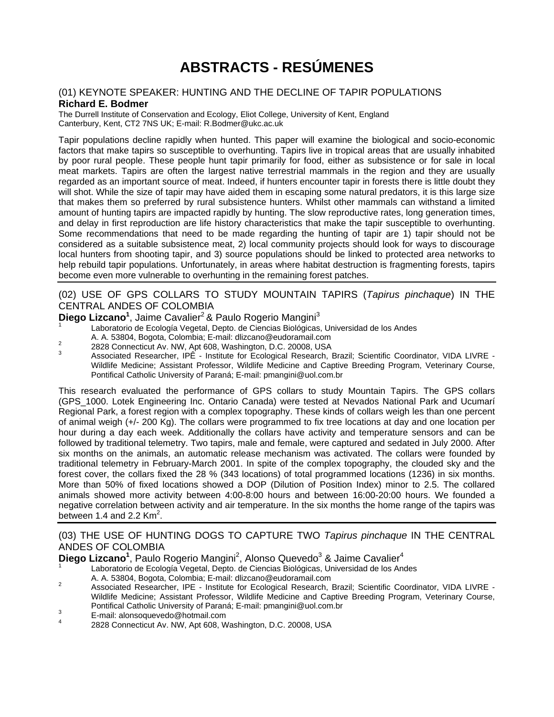# **ABSTRACTS - RESÚMENES**

#### (01) KEYNOTE SPEAKER: HUNTING AND THE DECLINE OF TAPIR POPULATIONS **Richard E. Bodmer**

The Durrell Institute of Conservation and Ecology, Eliot College, University of Kent, England Canterbury, Kent, CT2 7NS UK; E-mail: R.Bodmer@ukc.ac.uk

Tapir populations decline rapidly when hunted. This paper will examine the biological and socio-economic factors that make tapirs so susceptible to overhunting. Tapirs live in tropical areas that are usually inhabited by poor rural people. These people hunt tapir primarily for food, either as subsistence or for sale in local meat markets. Tapirs are often the largest native terrestrial mammals in the region and they are usually regarded as an important source of meat. Indeed, if hunters encounter tapir in forests there is little doubt they will shot. While the size of tapir may have aided them in escaping some natural predators, it is this large size that makes them so preferred by rural subsistence hunters. Whilst other mammals can withstand a limited amount of hunting tapirs are impacted rapidly by hunting. The slow reproductive rates, long generation times, and delay in first reproduction are life history characteristics that make the tapir susceptible to overhunting. Some recommendations that need to be made regarding the hunting of tapir are 1) tapir should not be considered as a suitable subsistence meat, 2) local community projects should look for ways to discourage local hunters from shooting tapir, and 3) source populations should be linked to protected area networks to help rebuild tapir populations. Unfortunately, in areas where habitat destruction is fragmenting forests, tapirs become even more vulnerable to overhunting in the remaining forest patches.

### (02) USE OF GPS COLLARS TO STUDY MOUNTAIN TAPIRS (*Tapirus pinchaque*) IN THE CENTRAL ANDES OF COLOMBIA

### **Diego Lizcano<sup>1</sup>**, Jaime Cavalier<sup>2</sup> & Paulo Rogerio Mangini<sup>3</sup>

Laboratorio de Ecología Vegetal, Depto. de Ciencias Biológicas, Universidad de los Andes

- 
- 

A. A. 53804, Bogota, Colombia; E-mail: dlizcano@eudoramail.com<br>2828 Connecticut Av. NW, Apt 608, Washington, D.C. 20008, USA<br>3 Associated Researcher, IPÊ - Institute for Ecological Research, Brazil; Scientific Coordinator, Wildlife Medicine; Assistant Professor, Wildlife Medicine and Captive Breeding Program, Veterinary Course, Pontifical Catholic University of Paraná; E-mail: pmangini@uol.com.br

This research evaluated the performance of GPS collars to study Mountain Tapirs. The GPS collars (GPS\_1000. Lotek Engineering Inc. Ontario Canada) were tested at Nevados National Park and Ucumarí Regional Park, a forest region with a complex topography. These kinds of collars weigh les than one percent of animal weigh (+/- 200 Kg). The collars were programmed to fix tree locations at day and one location per hour during a day each week. Additionally the collars have activity and temperature sensors and can be followed by traditional telemetry. Two tapirs, male and female, were captured and sedated in July 2000. After six months on the animals, an automatic release mechanism was activated. The collars were founded by traditional telemetry in February-March 2001. In spite of the complex topography, the clouded sky and the forest cover, the collars fixed the 28 % (343 locations) of total programmed locations (1236) in six months. More than 50% of fixed locations showed a DOP (Dilution of Position Index) minor to 2.5. The collared animals showed more activity between 4:00-8:00 hours and between 16:00-20:00 hours. We founded a negative correlation between activity and air temperature. In the six months the home range of the tapirs was between 1.4 and 2.2  $\text{Km}^2$ .

### (03) THE USE OF HUNTING DOGS TO CAPTURE TWO *Tapirus pinchaque* IN THE CENTRAL ANDES OF COLOMBIA

Diego Lizcano<sup>1</sup>, Paulo Rogerio Mangini<sup>2</sup>, Alonso Quevedo<sup>3</sup> & Jaime Cavalier<sup>4</sup>

Laboratorio de Ecología Vegetal, Depto. de Ciencias Biológicas, Universidad de los Andes<br>A. A. 53804, Bogota, Colombia; E-mail: dlizcano@eudoramail.com

- A. A. 53804, Bogota, Colombia; E-mail: dlizcano@eudoramail.com 2 Associated Researcher, IPE Institute for Ecological Research, Brazil; Scientific Coordinator, VIDA LIVRE Wildlife Medicine; Assistant Professor, Wildlife Medicine and Captive Breeding Program, Veterinary Course, Pontifical Catholic University of Paraná; E-mail: pmangini@uol.com.br<br>
<sup>3</sup> E-mail: alonsoquevedo@hotmail.com<br>
<sup>4</sup> 2828 Connecticut Av. NW, Apt 608, Washington, D.C. 20008, USA
- 
-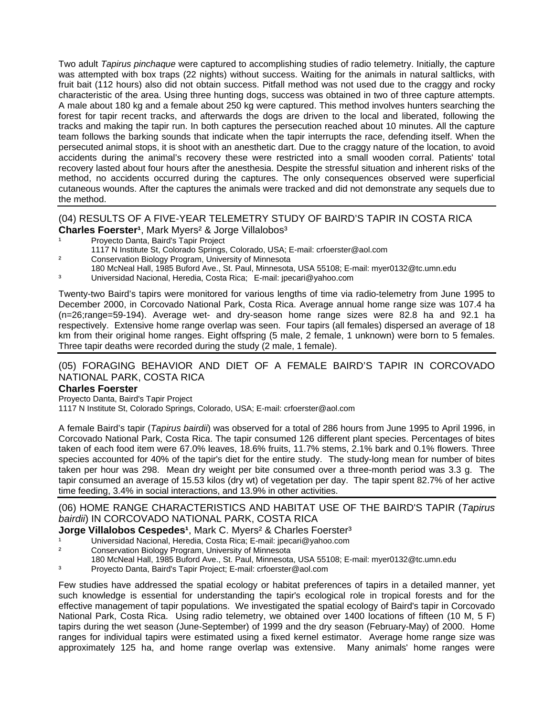Two adult *Tapirus pinchaque* were captured to accomplishing studies of radio telemetry. Initially, the capture was attempted with box traps (22 nights) without success. Waiting for the animals in natural saltlicks, with fruit bait (112 hours) also did not obtain success. Pitfall method was not used due to the craggy and rocky characteristic of the area. Using three hunting dogs, success was obtained in two of three capture attempts. A male about 180 kg and a female about 250 kg were captured. This method involves hunters searching the forest for tapir recent tracks, and afterwards the dogs are driven to the local and liberated, following the tracks and making the tapir run. In both captures the persecution reached about 10 minutes. All the capture team follows the barking sounds that indicate when the tapir interrupts the race, defending itself. When the persecuted animal stops, it is shoot with an anesthetic dart. Due to the craggy nature of the location, to avoid accidents during the animal's recovery these were restricted into a small wooden corral. Patients' total recovery lasted about four hours after the anesthesia. Despite the stressful situation and inherent risks of the method, no accidents occurred during the captures. The only consequences observed were superficial cutaneous wounds. After the captures the animals were tracked and did not demonstrate any sequels due to the method.

### (04) RESULTS OF A FIVE-YEAR TELEMETRY STUDY OF BAIRD'S TAPIR IN COSTA RICA **Charles Foerster<sup>1</sup>, Mark Myers<sup>2</sup> & Jorge Villalobos<sup>3</sup>**

- Proyecto Danta, Baird's Tapir Project
- 1117 N Institute St, Colorado Springs, Colorado, USA; E-mail: crfoerster@aol.com
- Conservation Biology Program, University of Minnesota
- 180 McNeal Hall, 1985 Buford Ave., St. Paul, Minnesota, USA 55108; E-mail: myer0132@tc.umn.edu
- ³ Universidad Nacional, Heredia, Costa Rica; E-mail: jpecari@yahoo.com

Twenty-two Baird's tapirs were monitored for various lengths of time via radio-telemetry from June 1995 to December 2000, in Corcovado National Park, Costa Rica. Average annual home range size was 107.4 ha (n=26;range=59-194). Average wet- and dry-season home range sizes were 82.8 ha and 92.1 ha respectively. Extensive home range overlap was seen. Four tapirs (all females) dispersed an average of 18 km from their original home ranges. Eight offspring (5 male, 2 female, 1 unknown) were born to 5 females. Three tapir deaths were recorded during the study (2 male, 1 female).

#### (05) FORAGING BEHAVIOR AND DIET OF A FEMALE BAIRD'S TAPIR IN CORCOVADO NATIONAL PARK, COSTA RICA

#### **Charles Foerster**

Proyecto Danta, Baird's Tapir Project 1117 N Institute St, Colorado Springs, Colorado, USA; E-mail: crfoerster@aol.com

A female Baird's tapir (*Tapirus bairdii*) was observed for a total of 286 hours from June 1995 to April 1996, in Corcovado National Park, Costa Rica. The tapir consumed 126 different plant species. Percentages of bites taken of each food item were 67.0% leaves, 18.6% fruits, 11.7% stems, 2.1% bark and 0.1% flowers. Three species accounted for 40% of the tapir's diet for the entire study. The study-long mean for number of bites taken per hour was 298. Mean dry weight per bite consumed over a three-month period was 3.3 g. The tapir consumed an average of 15.53 kilos (dry wt) of vegetation per day. The tapir spent 82.7% of her active time feeding, 3.4% in social interactions, and 13.9% in other activities.

### (06) HOME RANGE CHARACTERISTICS AND HABITAT USE OF THE BAIRD'S TAPIR (*Tapirus bairdii*) IN CORCOVADO NATIONAL PARK, COSTA RICA

#### **Jorge Villalobos Cespedes<sup>1</sup>, Mark C. Myers<sup>2</sup> & Charles Foerster<sup>3</sup>**

- Universidad Nacional, Heredia, Costa Rica; E-mail: jpecari@yahoo.com
- <sup>2</sup> Conservation Biology Program, University of Minnesota
- 180 McNeal Hall, 1985 Buford Ave., St. Paul, Minnesota, USA 55108; E-mail: myer0132@tc.umn.edu
- ³ Proyecto Danta, Baird's Tapir Project; E-mail: crfoerster@aol.com

Few studies have addressed the spatial ecology or habitat preferences of tapirs in a detailed manner, yet such knowledge is essential for understanding the tapir's ecological role in tropical forests and for the effective management of tapir populations. We investigated the spatial ecology of Baird's tapir in Corcovado National Park, Costa Rica. Using radio telemetry, we obtained over 1400 locations of fifteen (10 M, 5 F) tapirs during the wet season (June-September) of 1999 and the dry season (February-May) of 2000. Home ranges for individual tapirs were estimated using a fixed kernel estimator. Average home range size was approximately 125 ha, and home range overlap was extensive. Many animals' home ranges were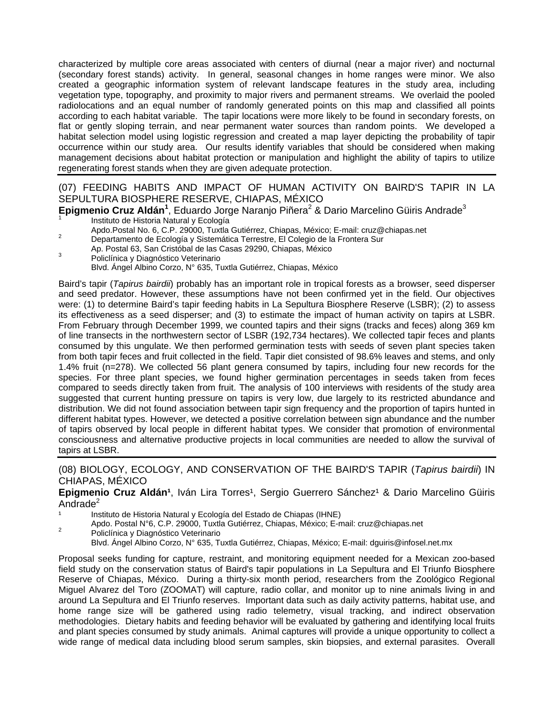characterized by multiple core areas associated with centers of diurnal (near a major river) and nocturnal (secondary forest stands) activity. In general, seasonal changes in home ranges were minor. We also created a geographic information system of relevant landscape features in the study area, including vegetation type, topography, and proximity to major rivers and permanent streams. We overlaid the pooled radiolocations and an equal number of randomly generated points on this map and classified all points according to each habitat variable. The tapir locations were more likely to be found in secondary forests, on flat or gently sloping terrain, and near permanent water sources than random points. We developed a habitat selection model using logistic regression and created a map layer depicting the probability of tapir occurrence within our study area. Our results identify variables that should be considered when making management decisions about habitat protection or manipulation and highlight the ability of tapirs to utilize regenerating forest stands when they are given adequate protection.

## (07) FEEDING HABITS AND IMPACT OF HUMAN ACTIVITY ON BAIRD'S TAPIR IN LA SEPULTURA BIOSPHERE RESERVE, CHIAPAS, MÉXICO

**Epigmenio Cruz Aldán<sup>1</sup>, Eduardo Jorge Naranjo Piñera<sup>2</sup> & Dario Marcelino Güiris Andrade<sup>3</sup>** 

- Instituto de Historia Natural y Ecología<br>Apdo.Postal No. 6, C.P. 29000, Tuxtla Gutiérrez, Chiapas, México; E-mail: cruz@chiapas.net
- <sup>2</sup> Departamento de Ecología y Sistemática Terrestre, El Colegio de la Frontera Sur
- Ap. Postal 63, San Cristóbal de las Casas 29290, Chiapas, México 3 Policlínica y Diagnóstico Veterinario
- Blvd. Ángel Albino Corzo, N° 635, Tuxtla Gutiérrez, Chiapas, México

Baird's tapir (*Tapirus bairdii*) probably has an important role in tropical forests as a browser, seed disperser and seed predator. However, these assumptions have not been confirmed yet in the field. Our objectives were: (1) to determine Baird's tapir feeding habits in La Sepultura Biosphere Reserve (LSBR); (2) to assess its effectiveness as a seed disperser; and (3) to estimate the impact of human activity on tapirs at LSBR. From February through December 1999, we counted tapirs and their signs (tracks and feces) along 369 km of line transects in the northwestern sector of LSBR (192,734 hectares). We collected tapir feces and plants consumed by this ungulate. We then performed germination tests with seeds of seven plant species taken from both tapir feces and fruit collected in the field. Tapir diet consisted of 98.6% leaves and stems, and only 1.4% fruit (n=278). We collected 56 plant genera consumed by tapirs, including four new records for the species. For three plant species, we found higher germination percentages in seeds taken from feces compared to seeds directly taken from fruit. The analysis of 100 interviews with residents of the study area suggested that current hunting pressure on tapirs is very low, due largely to its restricted abundance and distribution. We did not found association between tapir sign frequency and the proportion of tapirs hunted in different habitat types. However, we detected a positive correlation between sign abundance and the number of tapirs observed by local people in different habitat types. We consider that promotion of environmental consciousness and alternative productive projects in local communities are needed to allow the survival of tapirs at LSBR.

#### (08) BIOLOGY, ECOLOGY, AND CONSERVATION OF THE BAIRD'S TAPIR (*Tapirus bairdii*) IN CHIAPAS, MÉXICO

#### Epigmenio Cruz Aldán<sup>1</sup>, Iván Lira Torres<sup>1</sup>, Sergio Guerrero Sánchez<sup>1</sup> & Dario Marcelino Güiris Andrade<sup>2</sup>

Instituto de Historia Natural y Ecología del Estado de Chiapas (IHNE)

Apdo. Postal N°6, C.P. 29000, Tuxtla Gutiérrez, Chiapas, México; E-mail: cruz@chiapas.net 2 Policlínica y Diagnóstico Veterinario

Blvd. Ángel Albino Corzo, N° 635, Tuxtla Gutiérrez, Chiapas, México; E-mail: dguiris@infosel.net.mx

Proposal seeks funding for capture, restraint, and monitoring equipment needed for a Mexican zoo-based field study on the conservation status of Baird's tapir populations in La Sepultura and El Triunfo Biosphere Reserve of Chiapas, México. During a thirty-six month period, researchers from the Zoológico Regional Miguel Alvarez del Toro (ZOOMAT) will capture, radio collar, and monitor up to nine animals living in and around La Sepultura and El Triunfo reserves. Important data such as daily activity patterns, habitat use, and home range size will be gathered using radio telemetry, visual tracking, and indirect observation methodologies. Dietary habits and feeding behavior will be evaluated by gathering and identifying local fruits and plant species consumed by study animals. Animal captures will provide a unique opportunity to collect a wide range of medical data including blood serum samples, skin biopsies, and external parasites. Overall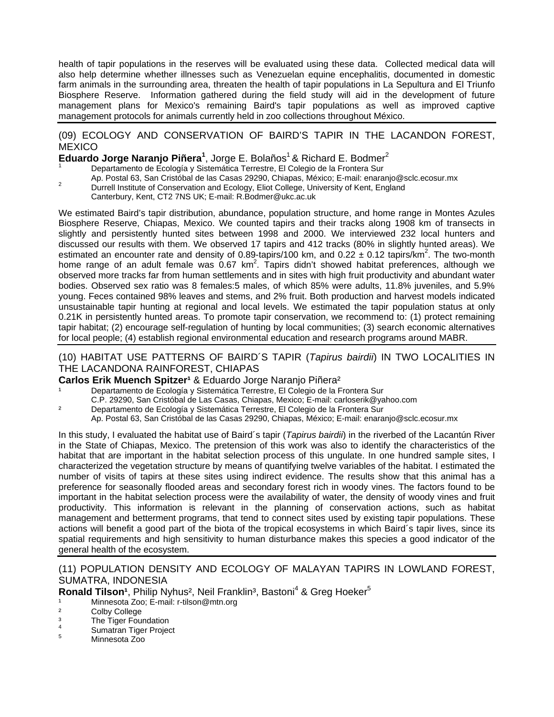health of tapir populations in the reserves will be evaluated using these data. Collected medical data will also help determine whether illnesses such as Venezuelan equine encephalitis, documented in domestic farm animals in the surrounding area, threaten the health of tapir populations in La Sepultura and El Triunfo Biosphere Reserve. Information gathered during the field study will aid in the development of future management plans for Mexico's remaining Baird's tapir populations as well as improved captive management protocols for animals currently held in zoo collections throughout México.

#### (09) ECOLOGY AND CONSERVATION OF BAIRD'S TAPIR IN THE LACANDON FOREST, **MEXICO**

### **Eduardo Jorge Naranjo Piñera<sup>1</sup>, Jorge E. Bolaños<sup>1</sup> & Richard E. Bodmer<sup>2</sup>**

- Departamento de Ecología y Sistemática Terrestre, El Colegio de la Frontera Sur
- Ap. Postal 63, San Cristóbal de las Casas 29290, Chiapas, México; E-mail: enaranjo@sclc.ecosur.mx <br>2 Durrell Institute of Conservation and Ecology, Eliot College, University of Kent, England
- - Canterbury, Kent, CT2 7NS UK; E-mail: R.Bodmer@ukc.ac.uk

We estimated Baird's tapir distribution, abundance, population structure, and home range in Montes Azules Biosphere Reserve, Chiapas, Mexico. We counted tapirs and their tracks along 1908 km of transects in slightly and persistently hunted sites between 1998 and 2000. We interviewed 232 local hunters and discussed our results with them. We observed 17 tapirs and 412 tracks (80% in slightly hunted areas). We estimated an encounter rate and density of 0.89-tapirs/100 km, and 0.22  $\pm$  0.12 tapirs/km<sup>2</sup>. The two-month home range of an adult female was  $0.67 \text{ km}^2$ . Tapirs didn't showed habitat preferences, although we observed more tracks far from human settlements and in sites with high fruit productivity and abundant water bodies. Observed sex ratio was 8 females:5 males, of which 85% were adults, 11.8% juveniles, and 5.9% young. Feces contained 98% leaves and stems, and 2% fruit. Both production and harvest models indicated unsustainable tapir hunting at regional and local levels. We estimated the tapir population status at only 0.21K in persistently hunted areas. To promote tapir conservation, we recommend to: (1) protect remaining tapir habitat; (2) encourage self-regulation of hunting by local communities; (3) search economic alternatives for local people; (4) establish regional environmental education and research programs around MABR.

#### (10) HABITAT USE PATTERNS OF BAIRD´S TAPIR (*Tapirus bairdii*) IN TWO LOCALITIES IN THE LACANDONA RAINFOREST, CHIAPAS

#### **Carlos Erik Muench Spitzer<sup>1</sup> & Eduardo Jorge Naranio Piñera<sup>2</sup>**

Departamento de Ecología y Sistemática Terrestre, El Colegio de la Frontera Sur C.P. 29290, San Cristóbal de Las Casas, Chiapas, Mexico; E-mail: carloserik@yahoo.com

² Departamento de Ecología y Sistemática Terrestre, El Colegio de la Frontera Sur Ap. Postal 63, San Cristóbal de las Casas 29290, Chiapas, México; E-mail: enaranjo@sclc.ecosur.mx

In this study, I evaluated the habitat use of Baird´s tapir (*Tapirus bairdii*) in the riverbed of the Lacantún River in the State of Chiapas, Mexico. The pretension of this work was also to identify the characteristics of the habitat that are important in the habitat selection process of this ungulate. In one hundred sample sites, I characterized the vegetation structure by means of quantifying twelve variables of the habitat. I estimated the number of visits of tapirs at these sites using indirect evidence. The results show that this animal has a preference for seasonally flooded areas and secondary forest rich in woody vines. The factors found to be important in the habitat selection process were the availability of water, the density of woody vines and fruit productivity. This information is relevant in the planning of conservation actions, such as habitat management and betterment programs, that tend to connect sites used by existing tapir populations. These actions will benefit a good part of the biota of the tropical ecosystems in which Baird´s tapir lives, since its spatial requirements and high sensitivity to human disturbance makes this species a good indicator of the general health of the ecosystem.

#### (11) POPULATION DENSITY AND ECOLOGY OF MALAYAN TAPIRS IN LOWLAND FOREST, SUMATRA, INDONESIA

Ronald Tilson<sup>1</sup>, Philip Nyhus<sup>2</sup>, Neil Franklin<sup>3</sup>, Bastoni<sup>4</sup> & Greg Hoeker<sup>5</sup>

- <sup>1</sup> Minnesota Zoo; E-mail: r-tilson@mtn.org<br><sup>2</sup> Colby College
- Colby College
- <sup>3</sup> The Tiger Foundation
- <sup>4</sup> Sumatran Tiger Project<br><sup>5</sup> Minnesota Zoo
-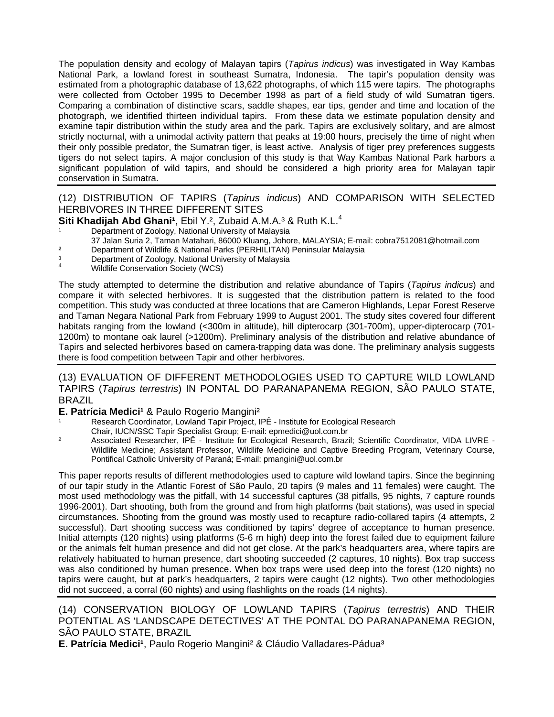The population density and ecology of Malayan tapirs (*Tapirus indicus*) was investigated in Way Kambas National Park, a lowland forest in southeast Sumatra, Indonesia. The tapir's population density was estimated from a photographic database of 13,622 photographs, of which 115 were tapirs. The photographs were collected from October 1995 to December 1998 as part of a field study of wild Sumatran tigers. Comparing a combination of distinctive scars, saddle shapes, ear tips, gender and time and location of the photograph, we identified thirteen individual tapirs. From these data we estimate population density and examine tapir distribution within the study area and the park. Tapirs are exclusively solitary, and are almost strictly nocturnal, with a unimodal activity pattern that peaks at 19:00 hours, precisely the time of night when their only possible predator, the Sumatran tiger, is least active. Analysis of tiger prey preferences suggests tigers do not select tapirs. A major conclusion of this study is that Way Kambas National Park harbors a significant population of wild tapirs, and should be considered a high priority area for Malayan tapir conservation in Sumatra.

### (12) DISTRIBUTION OF TAPIRS (*Tapirus indicus*) AND COMPARISON WITH SELECTED HERBIVORES IN THREE DIFFERENT SITES

# **Siti Khadijah Abd Ghani<sup>1</sup>, Ebil Y.<sup>2</sup>, Zubaid A.M.A.<sup>3</sup> & Ruth K.L.<sup>4</sup><br><sup>1</sup> Department of Zoology, National University of Malaysia**

- 
- 37 Jalan Suria 2, Taman Matahari, 86000 Kluang, Johore, MALAYSIA; E-mail: cobra7512081@hotmail.com
- <sup>2</sup> Department of Wildlife & National Parks (PERHILITAN) Peninsular Malaysia<br>3 Department of Zoology, National University of Malaysia
- <sup>3</sup> Department of Zoology, National University of Malaysia
- 4 Wildlife Conservation Society (WCS)

The study attempted to determine the distribution and relative abundance of Tapirs (*Tapirus indicus*) and compare it with selected herbivores. It is suggested that the distribution pattern is related to the food competition. This study was conducted at three locations that are Cameron Highlands, Lepar Forest Reserve and Taman Negara National Park from February 1999 to August 2001. The study sites covered four different habitats ranging from the lowland (<300m in altitude), hill dipterocarp (301-700m), upper-dipterocarp (701-1200m) to montane oak laurel (>1200m). Preliminary analysis of the distribution and relative abundance of Tapirs and selected herbivores based on camera-trapping data was done. The preliminary analysis suggests there is food competition between Tapir and other herbivores.

#### (13) EVALUATION OF DIFFERENT METHODOLOGIES USED TO CAPTURE WILD LOWLAND TAPIRS (*Tapirus terrestris*) IN PONTAL DO PARANAPANEMA REGION, SÃO PAULO STATE, BRAZIL

#### **E. Patrícia Medici<sup>1</sup> & Paulo Rogerio Mangini<sup>2</sup>**

- Research Coordinator, Lowland Tapir Project, IPÊ Institute for Ecological Research
- Chair, IUCN/SSC Tapir Specialist Group; E-mail: epmedici@uol.com.br
- <sup>2</sup> Associated Researcher, IPÊ Institute for Ecological Research, Brazil; Scientific Coordinator, VIDA LIVRE -Wildlife Medicine; Assistant Professor, Wildlife Medicine and Captive Breeding Program, Veterinary Course, Pontifical Catholic University of Paraná; E-mail: pmangini@uol.com.br

This paper reports results of different methodologies used to capture wild lowland tapirs. Since the beginning of our tapir study in the Atlantic Forest of São Paulo, 20 tapirs (9 males and 11 females) were caught. The most used methodology was the pitfall, with 14 successful captures (38 pitfalls, 95 nights, 7 capture rounds 1996-2001). Dart shooting, both from the ground and from high platforms (bait stations), was used in special circumstances. Shooting from the ground was mostly used to recapture radio-collared tapirs (4 attempts, 2 successful). Dart shooting success was conditioned by tapirs' degree of acceptance to human presence. Initial attempts (120 nights) using platforms (5-6 m high) deep into the forest failed due to equipment failure or the animals felt human presence and did not get close. At the park's headquarters area, where tapirs are relatively habituated to human presence, dart shooting succeeded (2 captures, 10 nights). Box trap success was also conditioned by human presence. When box traps were used deep into the forest (120 nights) no tapirs were caught, but at park's headquarters, 2 tapirs were caught (12 nights). Two other methodologies did not succeed, a corral (60 nights) and using flashlights on the roads (14 nights).

### (14) CONSERVATION BIOLOGY OF LOWLAND TAPIRS (*Tapirus terrestris*) AND THEIR POTENTIAL AS 'LANDSCAPE DETECTIVES' AT THE PONTAL DO PARANAPANEMA REGION, SÃO PAULO STATE, BRAZIL

**E. Patrícia Medici<sup>1</sup>**, Paulo Rogerio Mangini<sup>2</sup> & Cláudio Valladares-Pádua<sup>3</sup>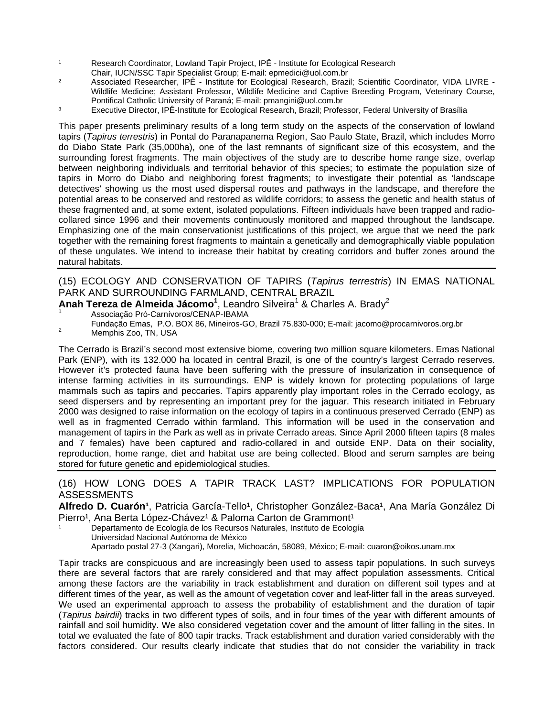- <sup>1</sup> Research Coordinator, Lowland Tapir Project, IPÊ Institute for Ecological Research
- Chair, IUCN/SSC Tapir Specialist Group; E-mail: epmedici@uol.com.br
- <sup>2</sup> Associated Researcher, IPÊ Institute for Ecological Research, Brazil; Scientific Coordinator, VIDA LIVRE -Wildlife Medicine; Assistant Professor, Wildlife Medicine and Captive Breeding Program, Veterinary Course, Pontifical Catholic University of Paraná; E-mail: pmangini@uol.com.br
- ³ Executive Director, IPÊ-Institute for Ecological Research, Brazil; Professor, Federal University of Brasília

This paper presents preliminary results of a long term study on the aspects of the conservation of lowland tapirs (*Tapirus terrestris*) in Pontal do Paranapanema Region, Sao Paulo State, Brazil, which includes Morro do Diabo State Park (35,000ha), one of the last remnants of significant size of this ecosystem, and the surrounding forest fragments. The main objectives of the study are to describe home range size, overlap between neighboring individuals and territorial behavior of this species; to estimate the population size of tapirs in Morro do Diabo and neighboring forest fragments; to investigate their potential as 'landscape detectives' showing us the most used dispersal routes and pathways in the landscape, and therefore the potential areas to be conserved and restored as wildlife corridors; to assess the genetic and health status of these fragmented and, at some extent, isolated populations. Fifteen individuals have been trapped and radiocollared since 1996 and their movements continuously monitored and mapped throughout the landscape. Emphasizing one of the main conservationist justifications of this project, we argue that we need the park together with the remaining forest fragments to maintain a genetically and demographically viable population of these ungulates. We intend to increase their habitat by creating corridors and buffer zones around the natural habitats.

## (15) ECOLOGY AND CONSERVATION OF TAPIRS (*Tapirus terrestris*) IN EMAS NATIONAL PARK AND SURROUNDING FARMLAND, CENTRAL BRAZIL

## **Anah Tereza de Almeida Jácomo<sup>1</sup>, Leandro Silveira<sup>1</sup> & Charles A. Brady<sup>2</sup>**

Associação Pró-Carnívoros/CENAP-IBAMA

Fundação Emas, P.O. BOX 86, Mineiros-GO, Brazil 75.830-000; E-mail: jacomo@procarnivoros.org.br 2 Memphis Zoo, TN, USA

The Cerrado is Brazil's second most extensive biome, covering two million square kilometers. Emas National Park (ENP), with its 132.000 ha located in central Brazil, is one of the country's largest Cerrado reserves. However it's protected fauna have been suffering with the pressure of insularization in consequence of intense farming activities in its surroundings. ENP is widely known for protecting populations of large mammals such as tapirs and peccaries. Tapirs apparently play important roles in the Cerrado ecology, as seed dispersers and by representing an important prey for the jaguar. This research initiated in February 2000 was designed to raise information on the ecology of tapirs in a continuous preserved Cerrado (ENP) as well as in fragmented Cerrado within farmland. This information will be used in the conservation and management of tapirs in the Park as well as in private Cerrado areas. Since April 2000 fifteen tapirs (8 males and 7 females) have been captured and radio-collared in and outside ENP. Data on their sociality, reproduction, home range, diet and habitat use are being collected. Blood and serum samples are being stored for future genetic and epidemiological studies.

(16) HOW LONG DOES A TAPIR TRACK LAST? IMPLICATIONS FOR POPULATION ASSESSMENTS

#### **Alfredo D. Cuarón<sup>1</sup>, Patricia García-Tello<sup>1</sup>, Christopher González-Baca<sup>1</sup>, Ana María González Di** Pierro<sup>1</sup>, Ana Berta López-Chávez<sup>1</sup> & Paloma Carton de Grammont<sup>1</sup>

Departamento de Ecología de los Recursos Naturales, Instituto de Ecología Universidad Nacional Autónoma de México Apartado postal 27-3 (Xangari), Morelia, Michoacán, 58089, México; E-mail: cuaron@oikos.unam.mx

Tapir tracks are conspicuous and are increasingly been used to assess tapir populations. In such surveys there are several factors that are rarely considered and that may affect population assessments. Critical among these factors are the variability in track establishment and duration on different soil types and at different times of the year, as well as the amount of vegetation cover and leaf-litter fall in the areas surveyed. We used an experimental approach to assess the probability of establishment and the duration of tapir (*Tapirus bairdii*) tracks in two different types of soils, and in four times of the year with different amounts of rainfall and soil humidity. We also considered vegetation cover and the amount of litter falling in the sites. In total we evaluated the fate of 800 tapir tracks. Track establishment and duration varied considerably with the factors considered. Our results clearly indicate that studies that do not consider the variability in track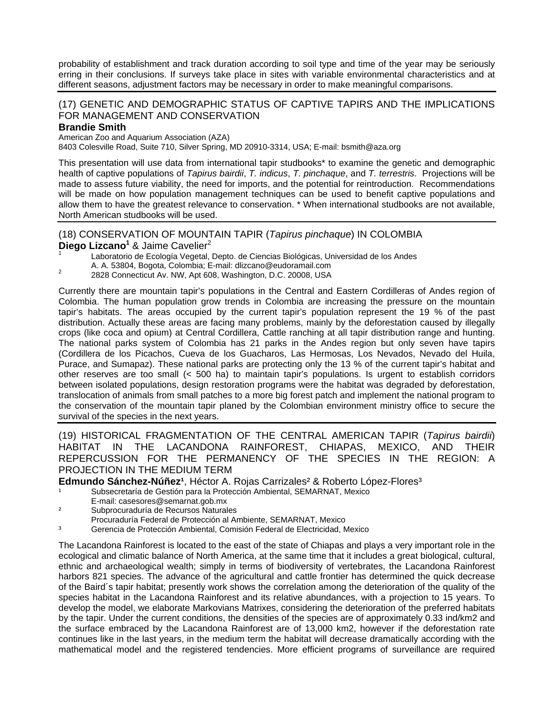probability of establishment and track duration according to soil type and time of the year may be seriously erring in their conclusions. If surveys take place in sites with variable environmental characteristics and at different seasons, adjustment factors may be necessary in order to make meaningful comparisons.

#### (17) GENETIC AND DEMOGRAPHIC STATUS OF CAPTIVE TAPIRS AND THE IMPLICATIONS FOR MANAGEMENT AND CONSERVATION

#### **Brandie Smith**

American Zoo and Aquarium Association (AZA) 8403 Colesville Road, Suite 710, Silver Spring, MD 20910-3314, USA; E-mail: bsmith@aza.org

This presentation will use data from international tapir studbooks\* to examine the genetic and demographic health of captive populations of *Tapirus bairdii*, *T. indicus*, *T. pinchaque*, and *T. terrestris*. Projections will be made to assess future viability, the need for imports, and the potential for reintroduction. Recommendations will be made on how population management techniques can be used to benefit captive populations and allow them to have the greatest relevance to conservation. \* When international studbooks are not available, North American studbooks will be used.

## (18) CONSERVATION OF MOUNTAIN TAPIR (*Tapirus pinchaque*) IN COLOMBIA

Diego Lizcano<sup>1</sup> & Jaime Cavelier<sup>2</sup>

- Laboratorio de Ecología Vegetal, Depto. de Ciencias Biológicas, Universidad de los Andes
- A. A. 53804, Bogota, Colombia; E-mail: dlizcano@eudoramail.com 2 2828 Connecticut Av. NW, Apt 608, Washington, D.C. 20008, USA
- 

Currently there are mountain tapir's populations in the Central and Eastern Cordilleras of Andes region of Colombia. The human population grow trends in Colombia are increasing the pressure on the mountain tapir's habitats. The areas occupied by the current tapir's population represent the 19 % of the past distribution. Actually these areas are facing many problems, mainly by the deforestation caused by illegally crops (like coca and opium) at Central Cordillera, Cattle ranching at all tapir distribution range and hunting. The national parks system of Colombia has 21 parks in the Andes region but only seven have tapirs (Cordillera de los Picachos, Cueva de los Guacharos, Las Hermosas, Los Nevados, Nevado del Huila, Purace, and Sumapaz). These national parks are protecting only the 13 % of the current tapir's habitat and other reserves are too small (< 500 ha) to maintain tapir's populations. Is urgent to establish corridors between isolated populations, design restoration programs were the habitat was degraded by deforestation, translocation of animals from small patches to a more big forest patch and implement the national program to the conservation of the mountain tapir planed by the Colombian environment ministry office to secure the survival of the species in the next years.

(19) HISTORICAL FRAGMENTATION OF THE CENTRAL AMERICAN TAPIR (*Tapirus bairdii*) HABITAT IN THE LACANDONA RAINFOREST, CHIAPAS, MEXICO, AND THEIR REPERCUSSION FOR THE PERMANENCY OF THE SPECIES IN THE REGION: A PROJECTION IN THE MEDIUM TERM

**Edmundo Sánchez-Núñez<sup>1</sup>, Héctor A. Rojas Carrizales<sup>2</sup> & Roberto López-Flores<sup>3</sup>** 

- Subsecretaría de Gestión para la Protección Ambiental, SEMARNAT, Mexico
- E-mail: casesores@semarnat.gob.mx
- ² Subprocuraduría de Recursos Naturales
- Procuraduría Federal de Protección al Ambiente, SEMARNAT, Mexico
- ³ Gerencia de Protección Ambiental, Comisión Federal de Electricidad, Mexico

The Lacandona Rainforest is located to the east of the state of Chiapas and plays a very important role in the ecological and climatic balance of North America, at the same time that it includes a great biological, cultural, ethnic and archaeological wealth; simply in terms of biodiversity of vertebrates, the Lacandona Rainforest harbors 821 species. The advance of the agricultural and cattle frontier has determined the quick decrease of the Baird´s tapir habitat; presently work shows the correlation among the deterioration of the quality of the species habitat in the Lacandona Rainforest and its relative abundances, with a projection to 15 years. To develop the model, we elaborate Markovians Matrixes, considering the deterioration of the preferred habitats by the tapir. Under the current conditions, the densities of the species are of approximately 0.33 ind/km2 and the surface embraced by the Lacandona Rainforest are of 13,000 km2, however if the deforestation rate continues like in the last years, in the medium term the habitat will decrease dramatically according with the mathematical model and the registered tendencies. More efficient programs of surveillance are required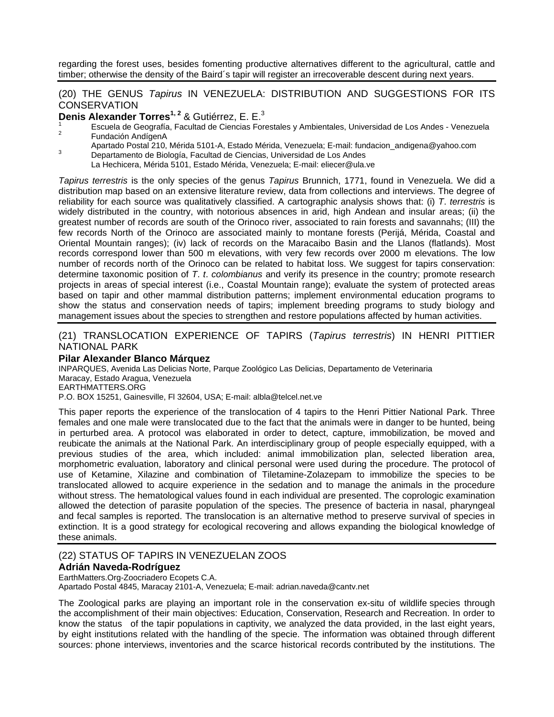regarding the forest uses, besides fomenting productive alternatives different to the agricultural, cattle and timber; otherwise the density of the Baird´s tapir will register an irrecoverable descent during next years.

#### (20) THE GENUS *Tapirus* IN VENEZUELA: DISTRIBUTION AND SUGGESTIONS FOR ITS **CONSERVATION**

**Denis Alexander Torres<sup>1, 2</sup> & Gutiérrez, E. E.<sup>3</sup>** 

- <sup>1</sup> Escuela de Geografía, Facultad de Ciencias Forestales y Ambientales, Universidad de Los Andes Venezuela<br><sup>2</sup> Fundación AndígenA
- Apartado Postal 210, Mérida 5101-A, Estado Mérida, Venezuela; E-mail: fundacion\_andigena@yahoo.com Departamento de Biología, Facultad de Ciencias, Universidad de Los Andes
- - La Hechicera, Mérida 5101, Estado Mérida, Venezuela; E-mail: eliecer@ula.ve

*Tapirus terrestris* is the only species of the genus *Tapirus* Brunnich, 1771, found in Venezuela. We did a distribution map based on an extensive literature review, data from collections and interviews. The degree of reliability for each source was qualitatively classified. A cartographic analysis shows that: (i) *T*. *terrestris* is widely distributed in the country, with notorious absences in arid, high Andean and insular areas; (ii) the greatest number of records are south of the Orinoco river, associated to rain forests and savannahs; (III) the few records North of the Orinoco are associated mainly to montane forests (Perijá, Mérida, Coastal and Oriental Mountain ranges); (iv) lack of records on the Maracaibo Basin and the Llanos (flatlands). Most records correspond lower than 500 m elevations, with very few records over 2000 m elevations. The low number of records north of the Orinoco can be related to habitat loss. We suggest for tapirs conservation: determine taxonomic position of *T*. *t*. *colombianus* and verify its presence in the country; promote research projects in areas of special interest (i.e., Coastal Mountain range); evaluate the system of protected areas based on tapir and other mammal distribution patterns; implement environmental education programs to show the status and conservation needs of tapirs; implement breeding programs to study biology and management issues about the species to strengthen and restore populations affected by human activities.

#### (21) TRANSLOCATION EXPERIENCE OF TAPIRS (*Tapirus terrestris*) IN HENRI PITTIER NATIONAL PARK

#### **Pilar Alexander Blanco Márquez**

INPARQUES, Avenida Las Delicias Norte, Parque Zoológico Las Delicias, Departamento de Veterinaria Maracay, Estado Aragua, Venezuela EARTHMATTERS.ORG

P.O. BOX 15251, Gainesville, Fl 32604, USA; E-mail: albla@telcel.net.ve

This paper reports the experience of the translocation of 4 tapirs to the Henri Pittier National Park. Three females and one male were translocated due to the fact that the animals were in danger to be hunted, being in perturbed area. A protocol was elaborated in order to detect, capture, immobilization, be moved and reubicate the animals at the National Park. An interdisciplinary group of people especially equipped, with a previous studies of the area, which included: animal immobilization plan, selected liberation area, morphometric evaluation, laboratory and clinical personal were used during the procedure. The protocol of use of Ketamine, Xilazine and combination of Tiletamine-Zolazepam to immobilize the species to be translocated allowed to acquire experience in the sedation and to manage the animals in the procedure without stress. The hematological values found in each individual are presented. The coprologic examination allowed the detection of parasite population of the species. The presence of bacteria in nasal, pharyngeal and fecal samples is reported. The translocation is an alternative method to preserve survival of species in extinction. It is a good strategy for ecological recovering and allows expanding the biological knowledge of these animals.

#### (22) STATUS OF TAPIRS IN VENEZUELAN ZOOS

#### **Adrián Naveda-Rodríguez**

EarthMatters.Org-Zoocriadero Ecopets C.A.

Apartado Postal 4845, Maracay 2101-A, Venezuela; E-mail: adrian.naveda@cantv.net

The Zoological parks are playing an important role in the conservation ex-situ of wildlife species through the accomplishment of their main objectives: Education, Conservation, Research and Recreation. In order to know the status of the tapir populations in captivity, we analyzed the data provided, in the last eight years, by eight institutions related with the handling of the specie. The information was obtained through different sources: phone interviews, inventories and the scarce historical records contributed by the institutions. The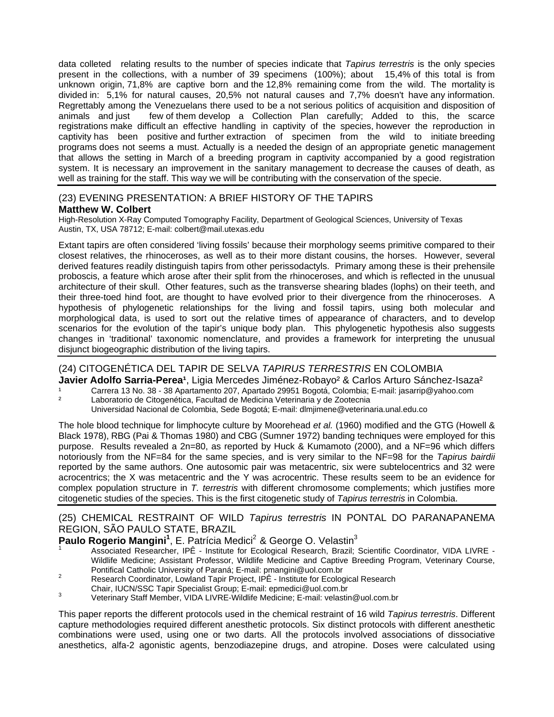data colleted relating results to the number of species indicate that *Tapirus terrestris* is the only species present in the collections, with a number of 39 specimens (100%); about 15,4% of this total is from unknown origin, 71,8% are captive born and the 12,8% remaining come from the wild. The mortality is divided in: 5,1% for natural causes, 20,5% not natural causes and 7,7% doesn't have any information. Regrettably among the Venezuelans there used to be a not serious politics of acquisition and disposition of animals and just few of them develop a Collection Plan carefully; Added to this, the scarce registrations make difficult an effective handling in captivity of the species, however the reproduction in captivity has been positive and further extraction of specimen from the wild to initiate breeding programs does not seems a must. Actually is a needed the design of an appropriate genetic management that allows the setting in March of a breeding program in captivity accompanied by a good registration system. It is necessary an improvement in the sanitary management to decrease the causes of death, as well as training for the staff. This way we will be contributing with the conservation of the specie.

### (23) EVENING PRESENTATION: A BRIEF HISTORY OF THE TAPIRS

#### **Matthew W. Colbert**

High-Resolution X-Ray Computed Tomography Facility, Department of Geological Sciences, University of Texas Austin, TX, USA 78712; E-mail: colbert@mail.utexas.edu

Extant tapirs are often considered 'living fossils' because their morphology seems primitive compared to their closest relatives, the rhinoceroses, as well as to their more distant cousins, the horses. However, several derived features readily distinguish tapirs from other perissodactyls. Primary among these is their prehensile proboscis, a feature which arose after their split from the rhinoceroses, and which is reflected in the unusual architecture of their skull. Other features, such as the transverse shearing blades (lophs) on their teeth, and their three-toed hind foot, are thought to have evolved prior to their divergence from the rhinoceroses. A hypothesis of phylogenetic relationships for the living and fossil tapirs, using both molecular and morphological data, is used to sort out the relative times of appearance of characters, and to develop scenarios for the evolution of the tapir's unique body plan. This phylogenetic hypothesis also suggests changes in 'traditional' taxonomic nomenclature, and provides a framework for interpreting the unusual disjunct biogeographic distribution of the living tapirs.

## (24) CITOGENÉTICA DEL TAPIR DE SELVA *TAPIRUS TERRESTRIS* EN COLOMBIA

**Javier Adolfo Sarria-Perea<sup>1</sup>, Ligia Mercedes Jiménez-Robayo<sup>2</sup> & Carlos Arturo Sánchez-Isaza<sup>2</sup>** 

<sup>1</sup> Carrera 13 No. 38 - 38 Apartamento 207, Apartado 29951 Bogotá, Colombia; E-mail: jasarrip@yahoo.com<br>2. Laberataria de Citografíca, Fesultad de Madisina Vetarinaria y de Zactania

Laboratorio de Citogenética, Facultad de Medicina Veterinaria y de Zootecnia

Universidad Nacional de Colombia, Sede Bogotá; E-mail: dlmjimene@veterinaria.unal.edu.co

The hole blood technique for limphocyte culture by Moorehead *et al.* (1960) modified and the GTG (Howell & Black 1978), RBG (Pai & Thomas 1980) and CBG (Sumner 1972) banding techniques were employed for this purpose. Results revealed a 2n=80, as reported by Huck & Kumamoto (2000), and a NF=96 which differs notoriously from the NF=84 for the same species, and is very similar to the NF=98 for the *Tapirus bairdii* reported by the same authors. One autosomic pair was metacentric, six were subtelocentrics and 32 were acrocentrics; the X was metacentric and the Y was acrocentric. These results seem to be an evidence for complex population structure in *T. terrestris* with different chromosome complements; which justifies more citogenetic studies of the species. This is the first citogenetic study of *Tapirus terrestris* in Colombia.

### (25) CHEMICAL RESTRAINT OF WILD *Tapirus terrestris* IN PONTAL DO PARANAPANEMA REGION, SÃO PAULO STATE, BRAZIL

## Paulo Rogerio Mangini<sup>1</sup>, E. Patrícia Medici<sup>2</sup> & George O. Velastin<sup>3</sup>

- 1 Associated Researcher, IPÊ - Institute for Ecological Research, Brazil; Scientific Coordinator, VIDA LIVRE - Wildlife Medicine; Assistant Professor, Wildlife Medicine and Captive Breeding Program, Veterinary Course, Pontifical Catholic University of Paraná; E-mail: pmangini@uol.com.br<br>Pessente Coordinates Loudard Tapis Preject, IDÉ, Jactitute for Foelee
- Prominsitive Common Controlling of Protect, IPÊ Institute for Ecological Research
- Chair, IUCN/SSC Tapir Specialist Group; E-mail: epmedici@uol.com.br
- Veterinary Staff Member, VIDA LIVRE-Wildlife Medicine; E-mail: velastin@uol.com.br

This paper reports the different protocols used in the chemical restraint of 16 wild *Tapirus terrestris*. Different capture methodologies required different anesthetic protocols. Six distinct protocols with different anesthetic combinations were used, using one or two darts. All the protocols involved associations of dissociative anesthetics, alfa-2 agonistic agents, benzodiazepine drugs, and atropine. Doses were calculated using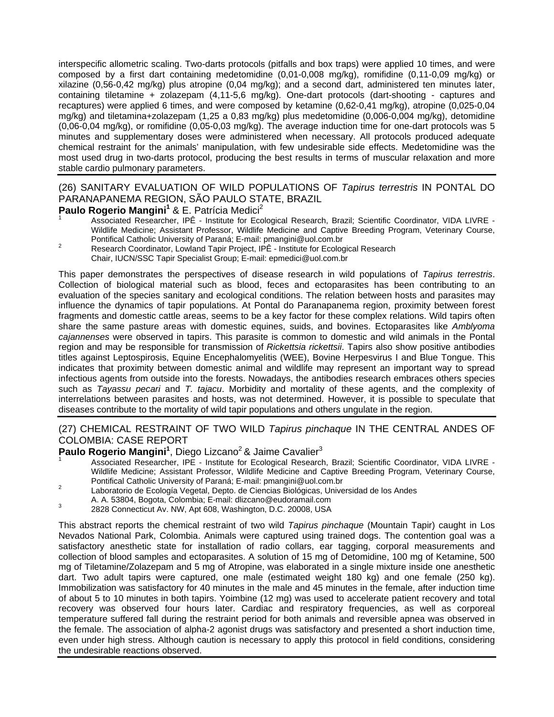interspecific allometric scaling. Two-darts protocols (pitfalls and box traps) were applied 10 times, and were composed by a first dart containing medetomidine (0,01-0,008 mg/kg), romifidine (0,11-0,09 mg/kg) or xilazine (0,56-0,42 mg/kg) plus atropine (0,04 mg/kg); and a second dart, administered ten minutes later, containing tiletamine + zolazepam (4,11-5,6 mg/kg). One-dart protocols (dart-shooting - captures and recaptures) were applied 6 times, and were composed by ketamine (0,62-0,41 mg/kg), atropine (0,025-0,04 mg/kg) and tiletamina+zolazepam (1,25 a 0,83 mg/kg) plus medetomidine (0,006-0,004 mg/kg), detomidine (0,06-0,04 mg/kg), or romifidine (0,05-0,03 mg/kg). The average induction time for one-dart protocols was 5 minutes and supplementary doses were administered when necessary. All protocols produced adequate chemical restraint for the animals' manipulation, with few undesirable side effects. Medetomidine was the most used drug in two-darts protocol, producing the best results in terms of muscular relaxation and more stable cardio pulmonary parameters.

## (26) SANITARY EVALUATION OF WILD POPULATIONS OF *Tapirus terrestris* IN PONTAL DO PARANAPANEMA REGION, SÃO PAULO STATE, BRAZIL

#### Paulo Rogerio Mangini<sup>1</sup> & E. Patrícia Medici<sup>2</sup> 1

- Associated Researcher, IPÊ Institute for Ecological Research, Brazil; Scientific Coordinator, VIDA LIVRE Wildlife Medicine; Assistant Professor, Wildlife Medicine and Captive Breeding Program, Veterinary Course, Pontifical Catholic University of Paraná; E-mail: pmangini@uol.com.br 2
- Research Coordinator, Lowland Tapir Project, IPÊ Institute for Ecological Research Chair, IUCN/SSC Tapir Specialist Group; E-mail: epmedici@uol.com.br

This paper demonstrates the perspectives of disease research in wild populations of *Tapirus terrestris*. Collection of biological material such as blood, feces and ectoparasites has been contributing to an evaluation of the species sanitary and ecological conditions. The relation between hosts and parasites may influence the dynamics of tapir populations. At Pontal do Paranapanema region, proximity between forest fragments and domestic cattle areas, seems to be a key factor for these complex relations. Wild tapirs often share the same pasture areas with domestic equines, suids, and bovines. Ectoparasites like *Amblyoma cajannenses* were observed in tapirs. This parasite is common to domestic and wild animals in the Pontal region and may be responsible for transmission of *Rickettsia rickettsii*. Tapirs also show positive antibodies titles against Leptospirosis, Equine Encephalomyelitis (WEE), Bovine Herpesvirus I and Blue Tongue. This indicates that proximity between domestic animal and wildlife may represent an important way to spread infectious agents from outside into the forests. Nowadays, the antibodies research embraces others species such as *Tayassu pecari* and *T. tajacu*. Morbidity and mortality of these agents, and the complexity of interrelations between parasites and hosts, was not determined. However, it is possible to speculate that diseases contribute to the mortality of wild tapir populations and others ungulate in the region.

### (27) CHEMICAL RESTRAINT OF TWO WILD *Tapirus pinchaque* IN THE CENTRAL ANDES OF COLOMBIA: CASE REPORT

## **Paulo Rogerio Mangini<sup>1</sup>, Diego Lizcano<sup>2</sup> & Jaime Cavalier<sup>3</sup><br>1**

- Associated Researcher, IPE Institute for Ecological Research, Brazil; Scientific Coordinator, VIDA LIVRE Wildlife Medicine; Assistant Professor, Wildlife Medicine and Captive Breeding Program, Veterinary Course, Pontifical Catholic University of Paraná; E-mail: pmangini@uol.com.br<br>2 Laboratorio de Ecología Vegetal, Depto. de Ciencias Biológicas, Universidad de los Andes
- 
- A. A. 53804, Bogota, Colombia; E-mail: dlizcano@eudoramail.com 3 2828 Connecticut Av. NW, Apt 608, Washington, D.C. 20008, USA
- 

This abstract reports the chemical restraint of two wild *Tapirus pinchaque* (Mountain Tapir) caught in Los Nevados National Park, Colombia. Animals were captured using trained dogs. The contention goal was a satisfactory anesthetic state for installation of radio collars, ear tagging, corporal measurements and collection of blood samples and ectoparasites. A solution of 15 mg of Detomidine, 100 mg of Ketamine, 500 mg of Tiletamine/Zolazepam and 5 mg of Atropine, was elaborated in a single mixture inside one anesthetic dart. Two adult tapirs were captured, one male (estimated weight 180 kg) and one female (250 kg). Immobilization was satisfactory for 40 minutes in the male and 45 minutes in the female, after induction time of about 5 to 10 minutes in both tapirs. Yoimbine (12 mg) was used to accelerate patient recovery and total recovery was observed four hours later. Cardiac and respiratory frequencies, as well as corporeal temperature suffered fall during the restraint period for both animals and reversible apnea was observed in the female. The association of alpha-2 agonist drugs was satisfactory and presented a short induction time, even under high stress. Although caution is necessary to apply this protocol in field conditions, considering the undesirable reactions observed.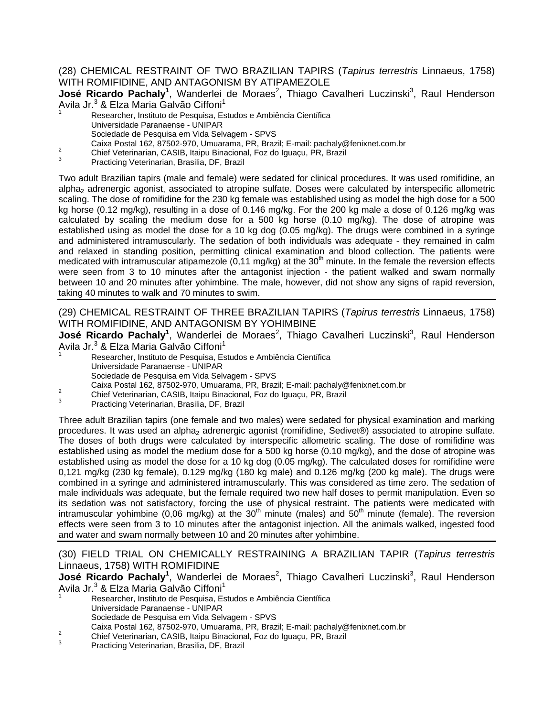#### (28) CHEMICAL RESTRAINT OF TWO BRAZILIAN TAPIRS (*Tapirus terrestris* Linnaeus, 1758) WITH ROMIFIDINE, AND ANTAGONISM BY ATIPAMEZOLE

**José Ricardo Pachaly<sup>1</sup>, Wanderlei de Moraes<sup>2</sup>, Thiago Cavalheri Luczinski<sup>3</sup>, Raul Henderson** Avila Jr.<sup>3</sup> & Elza Maria Galvão Ciffoni<sup>1</sup>

- Researcher, Instituto de Pesquisa, Estudos e Ambiência Científica
	- Universidade Paranaense UNIPAR
	- Sociedade de Pesquisa em Vida Selvagem SPVS
- Caixa Postal 162, 87502-970, Umuarama, PR, Brazil; E-mail: pachaly@fenixnet.com.br<br>
<sup>2</sup> Chief Veterinarian, CASIB, Itaipu Binacional, Foz do Iguaçu, PR, Brazil<br>
<sup>3</sup> Practicing Veterinarian, Brasilia, DF, Brazil
- 
- 

Two adult Brazilian tapirs (male and female) were sedated for clinical procedures. It was used romifidine, an alpha<sub>2</sub> adrenergic agonist, associated to atropine sulfate. Doses were calculated by interspecific allometric scaling. The dose of romifidine for the 230 kg female was established using as model the high dose for a 500 kg horse (0.12 mg/kg), resulting in a dose of 0.146 mg/kg. For the 200 kg male a dose of 0.126 mg/kg was calculated by scaling the medium dose for a 500 kg horse (0.10 mg/kg). The dose of atropine was established using as model the dose for a 10 kg dog (0.05 mg/kg). The drugs were combined in a syringe and administered intramuscularly. The sedation of both individuals was adequate - they remained in calm and relaxed in standing position, permitting clinical examination and blood collection. The patients were medicated with intramuscular atipamezole ( $0,11$  mg/kg) at the  $30<sup>th</sup>$  minute. In the female the reversion effects were seen from 3 to 10 minutes after the antagonist injection - the patient walked and swam normally between 10 and 20 minutes after yohimbine. The male, however, did not show any signs of rapid reversion, taking 40 minutes to walk and 70 minutes to swim.

(29) CHEMICAL RESTRAINT OF THREE BRAZILIAN TAPIRS (*Tapirus terrestris* Linnaeus, 1758) WITH ROMIFIDINE, AND ANTAGONISM BY YOHIMBINE

**José Ricardo Pachaly<sup>1</sup>, Wanderlei de Moraes<sup>2</sup>, Thiago Cavalheri Luczinski<sup>3</sup>, Raul Henderson** Avila Jr.<sup>3</sup> & Elza Maria Galvão Ciffoni<sup>1</sup>

- 1 Researcher, Instituto de Pesquisa, Estudos e Ambiência Científica Universidade Paranaense - UNIPAR Sociedade de Pesquisa em Vida Selvagem - SPVS
- Caixa Postal 162, 87502-970, Umuarama, PR, Brazil; E-mail: pachaly@fenixnet.com.br<br>
<sup>2</sup> Chief Veterinarian, CASIB, Itaipu Binacional, Foz do Iguaçu, PR, Brazil<br>
<sup>3</sup> Practicing Veterinarian, Brasilia, DF, Brazil
- 
- 

Three adult Brazilian tapirs (one female and two males) were sedated for physical examination and marking procedures. It was used an alpha<sub>2</sub> adrenergic agonist (romifidine, Sedivet®) associated to atropine sulfate. The doses of both drugs were calculated by interspecific allometric scaling. The dose of romifidine was established using as model the medium dose for a 500 kg horse (0.10 mg/kg), and the dose of atropine was established using as model the dose for a 10 kg dog (0.05 mg/kg). The calculated doses for romifidine were 0,121 mg/kg (230 kg female), 0.129 mg/kg (180 kg male) and 0.126 mg/kg (200 kg male). The drugs were combined in a syringe and administered intramuscularly. This was considered as time zero. The sedation of male individuals was adequate, but the female required two new half doses to permit manipulation. Even so its sedation was not satisfactory, forcing the use of physical restraint. The patients were medicated with intramuscular yohimbine (0,06 mg/kg) at the 30<sup>th</sup> minute (males) and 50<sup>th</sup> minute (female). The reversion effects were seen from 3 to 10 minutes after the antagonist injection. All the animals walked, ingested food and water and swam normally between 10 and 20 minutes after yohimbine.

(30) FIELD TRIAL ON CHEMICALLY RESTRAINING A BRAZILIAN TAPIR (*Tapirus terrestris* Linnaeus, 1758) WITH ROMIFIDINE

**José Ricardo Pachaly<sup>1</sup>, Wanderlei de Moraes<sup>2</sup>, Thiago Cavalheri Luczinski<sup>3</sup>, Raul Henderson** Avila Jr.<sup>3</sup> & Elza Maria Galvão Ciffoni<sup>1</sup>

- Researcher, Instituto de Pesquisa, Estudos e Ambiência Científica Universidade Paranaense - UNIPAR Sociedade de Pesquisa em Vida Selvagem - SPVS
- Caixa Postal 162, 87502-970, Umuarama, PR, Brazil; E-mail: pachaly@fenixnet.com.br<br>
<sup>2</sup> Chief Veterinarian, CASIB, Itaipu Binacional, Foz do Iguaçu, PR, Brazil<br>
<sup>3</sup> Practicing Veterinarian, Brasilia, DF, Brazil
- 
-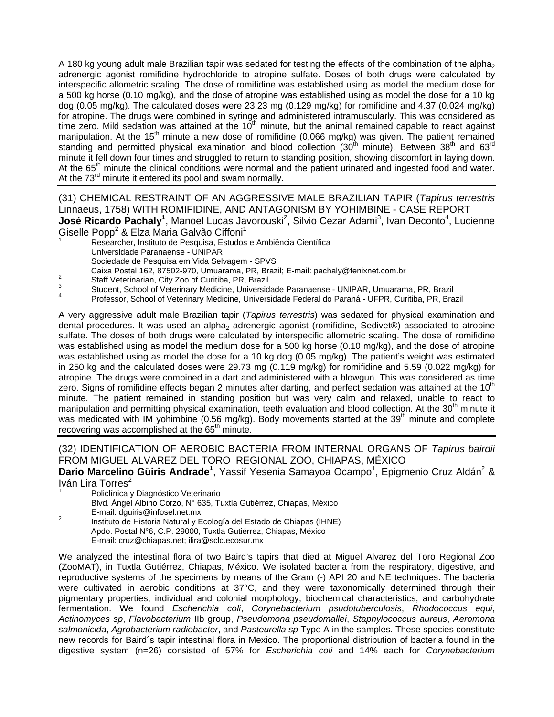A 180 kg young adult male Brazilian tapir was sedated for testing the effects of the combination of the alpha<sub>2</sub> adrenergic agonist romifidine hydrochloride to atropine sulfate. Doses of both drugs were calculated by interspecific allometric scaling. The dose of romifidine was established using as model the medium dose for a 500 kg horse (0.10 mg/kg), and the dose of atropine was established using as model the dose for a 10 kg dog (0.05 mg/kg). The calculated doses were 23.23 mg (0.129 mg/kg) for romifidine and 4.37 (0.024 mg/kg) for atropine. The drugs were combined in syringe and administered intramuscularly. This was considered as time zero. Mild sedation was attained at the  $10<sup>th</sup>$  minute, but the animal remained capable to react against manipulation. At the 15<sup>th</sup> minute a new dose of romifidine (0,066 mg/kg) was given. The patient remained standing and permitted physical examination and blood collection (30<sup>th</sup> minute). Between 38<sup>th</sup> and 63<sup>rd</sup> minute it fell down four times and struggled to return to standing position, showing discomfort in laying down. At the 65<sup>th</sup> minute the clinical conditions were normal and the patient urinated and ingested food and water. At the 73<sup>rd</sup> minute it entered its pool and swam normally.

(31) CHEMICAL RESTRAINT OF AN AGGRESSIVE MALE BRAZILIAN TAPIR (*Tapirus terrestris* Linnaeus, 1758) WITH ROMIFIDINE, AND ANTAGONISM BY YOHIMBINE - CASE REPORT **José Ricardo Pachaly<sup>1</sup>, Manoel Lucas Javorouski<sup>2</sup>, Silvio Cezar Adami<sup>3</sup>, Ivan Deconto<sup>4</sup>, Lucienne** Giselle Popp<sup>2</sup> & Elza Maria Galvão Ciffoni<sup>1</sup>

- Researcher, Instituto de Pesquisa, Estudos e Ambiência Científica Universidade Paranaense - UNIPAR
- Sociedade de Pesquisa em Vida Selvagem SPVS
- 
- 
- Caixa Postal 162, 87502-970, Umuarama, PR, Brazil; E-mail: pachaly@fenixnet.com.br<br>
Staff Veterinarian, City Zoo of Curitiba, PR, Brazil<br>
Student, School of Veterinary Medicine, Universidade Paranaense UNIPAR, Umuarama,
- 

A very aggressive adult male Brazilian tapir (*Tapirus terrestris*) was sedated for physical examination and dental procedures. It was used an alpha<sub>2</sub> adrenergic agonist (romifidine, Sedivet®) associated to atropine sulfate. The doses of both drugs were calculated by interspecific allometric scaling. The dose of romifidine was established using as model the medium dose for a 500 kg horse (0.10 mg/kg), and the dose of atropine was established using as model the dose for a 10 kg dog (0.05 mg/kg). The patient's weight was estimated in 250 kg and the calculated doses were 29.73 mg (0.119 mg/kg) for romifidine and 5.59 (0.022 mg/kg) for atropine. The drugs were combined in a dart and administered with a blowgun. This was considered as time zero. Signs of romifidine effects began 2 minutes after darting, and perfect sedation was attained at the 10<sup>th</sup> minute. The patient remained in standing position but was very calm and relaxed, unable to react to manipulation and permitting physical examination, teeth evaluation and blood collection. At the 30<sup>th</sup> minute it was medicated with IM yohimbine (0.56 mg/kg). Body movements started at the 39<sup>th</sup> minute and complete recovering was accomplished at the 65<sup>th</sup> minute.

(32) IDENTIFICATION OF AEROBIC BACTERIA FROM INTERNAL ORGANS OF *Tapirus bairdii* FROM MIGUEL ALVAREZ DEL TORO REGIONAL ZOO, CHIAPAS, MÉXICO

Dario Marcelino Güiris Andrade<sup>1</sup>, Yassif Yesenia Samayoa Ocampo<sup>1</sup>, Epigmenio Cruz Aldán<sup>2</sup> & Iván Lira Torres<sup>2</sup>

- Policlínica y Diagnóstico Veterinario
- Blvd. Ángel Albino Corzo, N° 635, Tuxtla Gutiérrez, Chiapas, México
- 
- E-mail: dguiris@infosel.net.mx 2 Instituto de Historia Natural y Ecología del Estado de Chiapas (IHNE) Apdo. Postal N°6, C.P. 29000, Tuxtla Gutiérrez, Chiapas, México E-mail: cruz@chiapas.net; ilira@sclc.ecosur.mx

We analyzed the intestinal flora of two Baird's tapirs that died at Miguel Alvarez del Toro Regional Zoo (ZooMAT), in Tuxtla Gutiérrez, Chiapas, México. We isolated bacteria from the respiratory, digestive, and reproductive systems of the specimens by means of the Gram (-) API 20 and NE techniques. The bacteria were cultivated in aerobic conditions at 37°C, and they were taxonomically determined through their pigmentary properties, individual and colonial morphology, biochemical characteristics, and carbohydrate fermentation. We found *Escherichia coli*, *Corynebacterium psudotuberculosis*, *Rhodococcus equi*, *Actinomyces sp*, *Flavobacterium* IIb group, *Pseudomona pseudomallei*, *Staphylococcus aureus*, *Aeromona salmonicida*, *Agrobacterium radiobacter*, and *Pasteurella sp* Type A in the samples. These species constitute new records for Baird´s tapir intestinal flora in Mexico. The proportional distribution of bacteria found in the digestive system (n=26) consisted of 57% for *Escherichia coli* and 14% each for *Corynebacterium*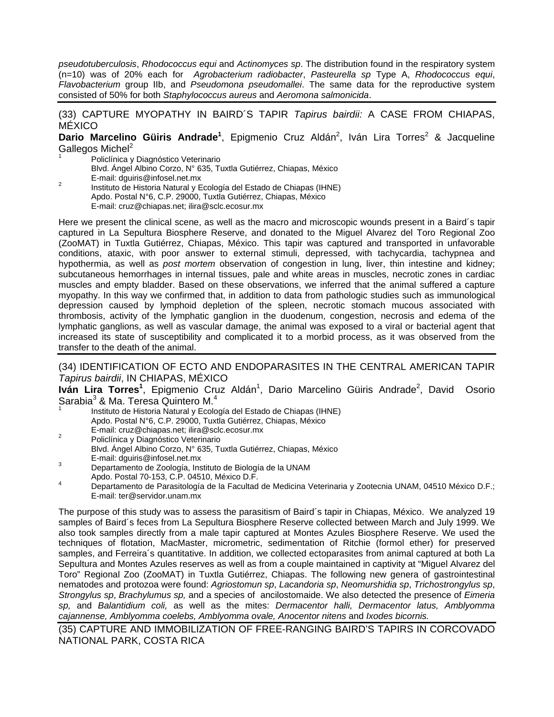*pseudotuberculosis*, *Rhodococcus equi* and *Actinomyces sp*. The distribution found in the respiratory system (n=10) was of 20% each for *Agrobacterium radiobacter*, *Pasteurella sp* Type A, *Rhodococcus equi*, *Flavobacterium* group IIb, and *Pseudomona pseudomallei*. The same data for the reproductive system consisted of 50% for both *Staphylococcus aureus* and *Aeromona salmonicida*.

(33) CAPTURE MYOPATHY IN BAIRD´S TAPIR *Tapirus bairdii:* A CASE FROM CHIAPAS, MÉXICO

Dario Marcelino Güiris Andrade<sup>1</sup>, Epigmenio Cruz Aldán<sup>2</sup>, Iván Lira Torres<sup>2</sup> & Jacqueline Gallegos Michel<sup>2</sup>

Policlínica y Diagnóstico Veterinario Blvd. Ángel Albino Corzo, N° 635, Tuxtla Gutiérrez, Chiapas, México E-mail: dguiris@infosel.net.mx 2 Instituto de Historia Natural y Ecología del Estado de Chiapas (IHNE) Apdo. Postal N°6, C.P. 29000, Tuxtla Gutiérrez, Chiapas, México

E-mail: cruz@chiapas.net; ilira@sclc.ecosur.mx

Here we present the clinical scene, as well as the macro and microscopic wounds present in a Baird´s tapir captured in La Sepultura Biosphere Reserve, and donated to the Miguel Alvarez del Toro Regional Zoo (ZooMAT) in Tuxtla Gutiérrez, Chiapas, México. This tapir was captured and transported in unfavorable conditions, ataxic, with poor answer to external stimuli, depressed, with tachycardia, tachypnea and hypothermia, as well as *post mortem* observation of congestion in lung, liver, thin intestine and kidney; subcutaneous hemorrhages in internal tissues, pale and white areas in muscles, necrotic zones in cardiac muscles and empty bladder. Based on these observations, we inferred that the animal suffered a capture myopathy. In this way we confirmed that, in addition to data from pathologic studies such as immunological depression caused by lymphoid depletion of the spleen, necrotic stomach mucous associated with thrombosis, activity of the lymphatic ganglion in the duodenum, congestion, necrosis and edema of the lymphatic ganglions, as well as vascular damage, the animal was exposed to a viral or bacterial agent that increased its state of susceptibility and complicated it to a morbid process, as it was observed from the transfer to the death of the animal.

(34) IDENTIFICATION OF ECTO AND ENDOPARASITES IN THE CENTRAL AMERICAN TAPIR *Tapirus bairdii*, IN CHIAPAS, MÉXICO

Iván Lira Torres<sup>1</sup>, Epigmenio Cruz Aldán<sup>1</sup>, Dario Marcelino Güiris Andrade<sup>2</sup>, David Osorio Sarabia<sup>3</sup> & Ma. Teresa Quintero M.<sup>4</sup>

- 1 Instituto de Historia Natural y Ecología del Estado de Chiapas (IHNE) Apdo. Postal N°6, C.P. 29000, Tuxtla Gutiérrez, Chiapas, México
- E-mail: cruz@chiapas.net; ilira@sclc.ecosur.mx 2 Policlínica y Diagnóstico Veterinario Blvd. Ángel Albino Corzo, N° 635, Tuxtla Gutiérrez, Chiapas, México
- E-mail: dguiris@infosel.net.mx<br>3 Departamento de Zoología, Instituto de Biología de la UNAM<br>4 Apdo. Postal 70-153, C.P. 04510, México D.F.
- Apdo. Postal 70-153, C.P. 04510, México D.F. 4 Departamento de Parasitología de la Facultad de Medicina Veterinaria y Zootecnia UNAM, 04510 México D.F.; E-mail: ter@servidor.unam.mx

The purpose of this study was to assess the parasitism of Baird´s tapir in Chiapas, México. We analyzed 19 samples of Baird´s feces from La Sepultura Biosphere Reserve collected between March and July 1999. We also took samples directly from a male tapir captured at Montes Azules Biosphere Reserve. We used the techniques of flotation, MacMaster, micrometric, sedimentation of Ritchie (formol ether) for preserved samples, and Ferreira´s quantitative. In addition, we collected ectoparasites from animal captured at both La Sepultura and Montes Azules reserves as well as from a couple maintained in captivity at "Miguel Alvarez del Toro" Regional Zoo (ZooMAT) in Tuxtla Gutiérrez, Chiapas. The following new genera of gastrointestinal nematodes and protozoa were found: *Agriostomun sp*, *Lacandoria sp*, *Neomurshidia sp*, *Trichostrongylus sp*, *Strongylus sp*, *Brachylumus sp,* and a species of ancilostomaide. We also detected the presence of *Eimeria sp,* and *Balantidium coli,* as well as the mites: *Dermacentor halli, Dermacentor latus, Amblyomma cajannense, Amblyomma coelebs, Amblyomma ovale, Anocentor nitens* and *Ixodes bicornis.* 

(35) CAPTURE AND IMMOBILIZATION OF FREE-RANGING BAIRD'S TAPIRS IN CORCOVADO NATIONAL PARK, COSTA RICA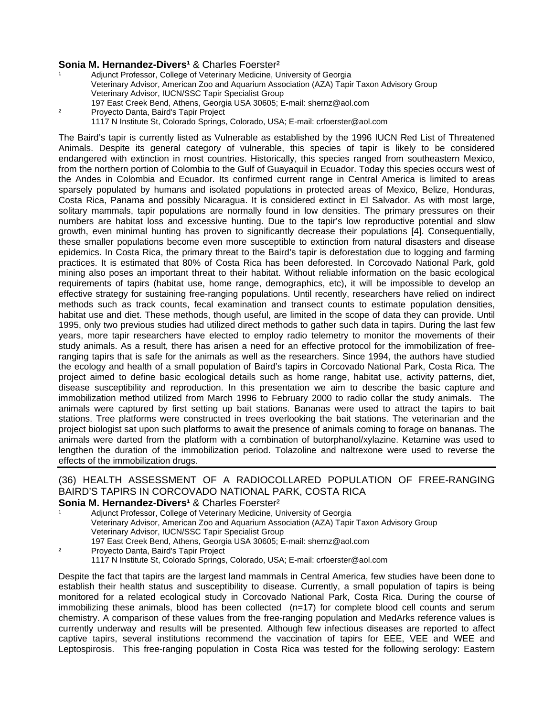#### **Sonia M. Hernandez-Divers<sup>1</sup> & Charles Foerster<sup>2</sup>**

Adjunct Professor, College of Veterinary Medicine, University of Georgia Veterinary Advisor, American Zoo and Aquarium Association (AZA) Tapir Taxon Advisory Group Veterinary Advisor, IUCN/SSC Tapir Specialist Group 197 East Creek Bend, Athens, Georgia USA 30605; E-mail: shernz@aol.com ² Proyecto Danta, Baird's Tapir Project 1117 N Institute St, Colorado Springs, Colorado, USA; E-mail: crfoerster@aol.com

The Baird's tapir is currently listed as Vulnerable as established by the 1996 IUCN Red List of Threatened Animals. Despite its general category of vulnerable, this species of tapir is likely to be considered endangered with extinction in most countries. Historically, this species ranged from southeastern Mexico, from the northern portion of Colombia to the Gulf of Guayaquil in Ecuador. Today this species occurs west of the Andes in Colombia and Ecuador. Its confirmed current range in Central America is limited to areas sparsely populated by humans and isolated populations in protected areas of Mexico, Belize, Honduras, Costa Rica, Panama and possibly Nicaragua. It is considered extinct in El Salvador. As with most large, solitary mammals, tapir populations are normally found in low densities. The primary pressures on their numbers are habitat loss and excessive hunting. Due to the tapir's low reproductive potential and slow growth, even minimal hunting has proven to significantly decrease their populations [4]. Consequentially, these smaller populations become even more susceptible to extinction from natural disasters and disease epidemics. In Costa Rica, the primary threat to the Baird's tapir is deforestation due to logging and farming practices. It is estimated that 80% of Costa Rica has been deforested. In Corcovado National Park, gold mining also poses an important threat to their habitat. Without reliable information on the basic ecological requirements of tapirs (habitat use, home range, demographics, etc), it will be impossible to develop an effective strategy for sustaining free-ranging populations. Until recently, researchers have relied on indirect methods such as track counts, fecal examination and transect counts to estimate population densities, habitat use and diet. These methods, though useful, are limited in the scope of data they can provide. Until 1995, only two previous studies had utilized direct methods to gather such data in tapirs. During the last few years, more tapir researchers have elected to employ radio telemetry to monitor the movements of their study animals. As a result, there has arisen a need for an effective protocol for the immobilization of freeranging tapirs that is safe for the animals as well as the researchers. Since 1994, the authors have studied the ecology and health of a small population of Baird's tapirs in Corcovado National Park, Costa Rica. The project aimed to define basic ecological details such as home range, habitat use, activity patterns, diet, disease susceptibility and reproduction. In this presentation we aim to describe the basic capture and immobilization method utilized from March 1996 to February 2000 to radio collar the study animals. The animals were captured by first setting up bait stations. Bananas were used to attract the tapirs to bait stations. Tree platforms were constructed in trees overlooking the bait stations. The veterinarian and the project biologist sat upon such platforms to await the presence of animals coming to forage on bananas. The animals were darted from the platform with a combination of butorphanol/xylazine. Ketamine was used to lengthen the duration of the immobilization period. Tolazoline and naltrexone were used to reverse the effects of the immobilization drugs.

## (36) HEALTH ASSESSMENT OF A RADIOCOLLARED POPULATION OF FREE-RANGING BAIRD'S TAPIRS IN CORCOVADO NATIONAL PARK, COSTA RICA

## **Sonia M. Hernandez-Divers<sup>1</sup> & Charles Foerster<sup>2</sup>**

| Adjunct Professor, College of Veterinary Medicine, University of Georgia |                                                                                            |
|--------------------------------------------------------------------------|--------------------------------------------------------------------------------------------|
|                                                                          | Veterinary Advisor, American Zoo and Aguarium Association (AZA) Tapir Taxon Advisory Group |
|                                                                          | Veterinary Advisor, IUCN/SSC Tapir Specialist Group                                        |
|                                                                          | 197 East Creek Bend, Athens, Georgia USA 30605; E-mail: shernz@aol.com                     |
| ີ                                                                        | Description Depter Default Teacher Destaut                                                 |

² Proyecto Danta, Baird's Tapir Project 1117 N Institute St, Colorado Springs, Colorado, USA; E-mail: crfoerster@aol.com

Despite the fact that tapirs are the largest land mammals in Central America, few studies have been done to establish their health status and susceptibility to disease. Currently, a small population of tapirs is being monitored for a related ecological study in Corcovado National Park, Costa Rica. During the course of immobilizing these animals, blood has been collected (n=17) for complete blood cell counts and serum chemistry. A comparison of these values from the free-ranging population and MedArks reference values is currently underway and results will be presented. Although few infectious diseases are reported to affect captive tapirs, several institutions recommend the vaccination of tapirs for EEE, VEE and WEE and Leptospirosis. This free-ranging population in Costa Rica was tested for the following serology: Eastern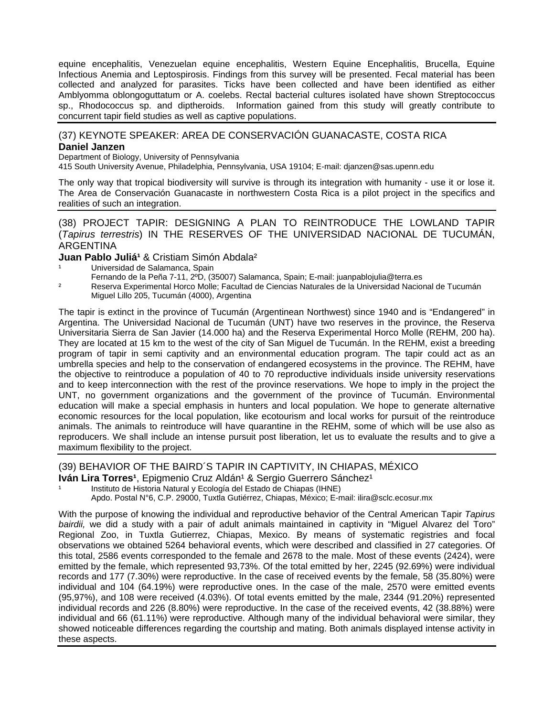equine encephalitis, Venezuelan equine encephalitis, Western Equine Encephalitis, Brucella, Equine Infectious Anemia and Leptospirosis. Findings from this survey will be presented. Fecal material has been collected and analyzed for parasites. Ticks have been collected and have been identified as either Amblyomma oblongoguttatum or A. coelebs. Rectal bacterial cultures isolated have shown Streptococcus sp., Rhodococcus sp. and diptheroids. Information gained from this study will greatly contribute to concurrent tapir field studies as well as captive populations.

#### (37) KEYNOTE SPEAKER: AREA DE CONSERVACIÓN GUANACASTE, COSTA RICA **Daniel Janzen**

Department of Biology, University of Pennsylvania

415 South University Avenue, Philadelphia, Pennsylvania, USA 19104; E-mail: djanzen@sas.upenn.edu

The only way that tropical biodiversity will survive is through its integration with humanity - use it or lose it. The Area de Conservación Guanacaste in northwestern Costa Rica is a pilot project in the specifics and realities of such an integration.

(38) PROJECT TAPIR: DESIGNING A PLAN TO REINTRODUCE THE LOWLAND TAPIR (*Tapirus terrestris*) IN THE RESERVES OF THE UNIVERSIDAD NACIONAL DE TUCUMÁN, ARGENTINA

#### **Juan Pablo Juliá<sup>1</sup> & Cristiam Simón Abdala<sup>2</sup>**

- Universidad de Salamanca, Spain
	- Fernando de la Peña 7-11, 2ºD, (35007) Salamanca, Spain; E-mail: juanpablojulia@terra.es
- ² Reserva Experimental Horco Molle; Facultad de Ciencias Naturales de la Universidad Nacional de Tucumán Miguel Lillo 205, Tucumán (4000), Argentina

The tapir is extinct in the province of Tucumán (Argentinean Northwest) since 1940 and is "Endangered" in Argentina. The Universidad Nacional de Tucumán (UNT) have two reserves in the province, the Reserva Universitaria Sierra de San Javier (14.000 ha) and the Reserva Experimental Horco Molle (REHM, 200 ha). They are located at 15 km to the west of the city of San Miguel de Tucumán. In the REHM, exist a breeding program of tapir in semi captivity and an environmental education program. The tapir could act as an umbrella species and help to the conservation of endangered ecosystems in the province. The REHM, have the objective to reintroduce a population of 40 to 70 reproductive individuals inside university reservations and to keep interconnection with the rest of the province reservations. We hope to imply in the project the UNT, no government organizations and the government of the province of Tucumán. Environmental education will make a special emphasis in hunters and local population. We hope to generate alternative economic resources for the local population, like ecotourism and local works for pursuit of the reintroduce animals. The animals to reintroduce will have quarantine in the REHM, some of which will be use also as reproducers. We shall include an intense pursuit post liberation, let us to evaluate the results and to give a maximum flexibility to the project.

#### (39) BEHAVIOR OF THE BAIRD´S TAPIR IN CAPTIVITY, IN CHIAPAS, MÉXICO

**Iván Lira Torres<sup>1</sup>, Epigmenio Cruz Aldán<sup>1</sup> & Sergio Guerrero Sánchez<sup>1</sup>** 

Instituto de Historia Natural y Ecología del Estado de Chiapas (IHNE)

Apdo. Postal N°6, C.P. 29000, Tuxtla Gutiérrez, Chiapas, México; E-mail: ilira@sclc.ecosur.mx

With the purpose of knowing the individual and reproductive behavior of the Central American Tapir *Tapirus bairdii,* we did a study with a pair of adult animals maintained in captivity in "Miguel Alvarez del Toro" Regional Zoo, in Tuxtla Gutierrez, Chiapas, Mexico. By means of systematic registries and focal observations we obtained 5264 behavioral events, which were described and classified in 27 categories. Of this total, 2586 events corresponded to the female and 2678 to the male. Most of these events (2424), were emitted by the female, which represented 93,73%. Of the total emitted by her, 2245 (92.69%) were individual records and 177 (7.30%) were reproductive. In the case of received events by the female, 58 (35.80%) were individual and 104 (64.19%) were reproductive ones. In the case of the male, 2570 were emitted events (95,97%), and 108 were received (4.03%). Of total events emitted by the male, 2344 (91.20%) represented individual records and 226 (8.80%) were reproductive. In the case of the received events, 42 (38.88%) were individual and 66 (61.11%) were reproductive. Although many of the individual behavioral were similar, they showed noticeable differences regarding the courtship and mating. Both animals displayed intense activity in these aspects.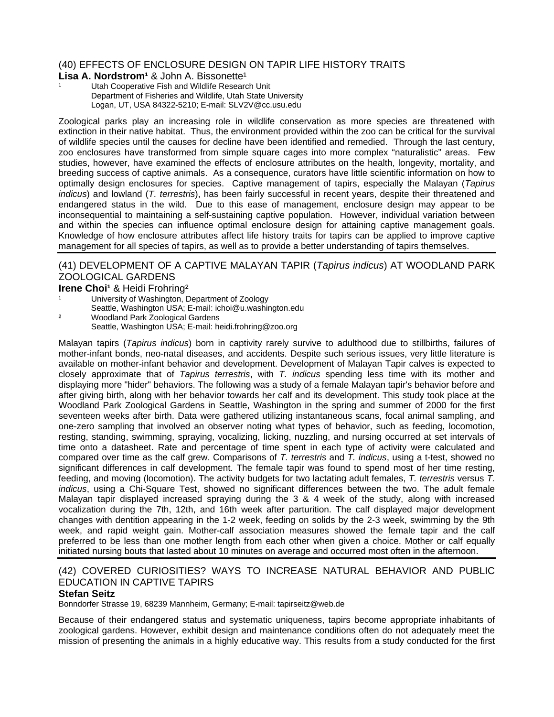## (40) EFFECTS OF ENCLOSURE DESIGN ON TAPIR LIFE HISTORY TRAITS

#### **Lisa A. Nordstrom<sup>1</sup> & John A. Bissonette<sup>1</sup>**

Utah Cooperative Fish and Wildlife Research Unit Department of Fisheries and Wildlife, Utah State University Logan, UT, USA 84322-5210; E-mail: SLV2V@cc.usu.edu

Zoological parks play an increasing role in wildlife conservation as more species are threatened with extinction in their native habitat. Thus, the environment provided within the zoo can be critical for the survival of wildlife species until the causes for decline have been identified and remedied. Through the last century, zoo enclosures have transformed from simple square cages into more complex "naturalistic" areas. Few studies, however, have examined the effects of enclosure attributes on the health, longevity, mortality, and breeding success of captive animals. As a consequence, curators have little scientific information on how to optimally design enclosures for species. Captive management of tapirs, especially the Malayan (*Tapirus indicus*) and lowland (*T. terrestris*), has been fairly successful in recent years, despite their threatened and endangered status in the wild. Due to this ease of management, enclosure design may appear to be inconsequential to maintaining a self-sustaining captive population. However, individual variation between and within the species can influence optimal enclosure design for attaining captive management goals. Knowledge of how enclosure attributes affect life history traits for tapirs can be applied to improve captive management for all species of tapirs, as well as to provide a better understanding of tapirs themselves.

### (41) DEVELOPMENT OF A CAPTIVE MALAYAN TAPIR (*Tapirus indicus*) AT WOODLAND PARK ZOOLOGICAL GARDENS

#### **Irene Choi<sup>1</sup> & Heidi Frohring<sup>2</sup>**

- University of Washington, Department of Zoology Seattle, Washington USA; E-mail: ichoi@u.washington.edu
- ² Woodland Park Zoological Gardens Seattle, Washington USA; E-mail: heidi.frohring@zoo.org

Malayan tapirs (*Tapirus indicus*) born in captivity rarely survive to adulthood due to stillbirths, failures of mother-infant bonds, neo-natal diseases, and accidents. Despite such serious issues, very little literature is available on mother-infant behavior and development. Development of Malayan Tapir calves is expected to closely approximate that of *Tapirus terrestris*, with *T. indicus* spending less time with its mother and displaying more "hider" behaviors. The following was a study of a female Malayan tapir's behavior before and after giving birth, along with her behavior towards her calf and its development. This study took place at the Woodland Park Zoological Gardens in Seattle, Washington in the spring and summer of 2000 for the first seventeen weeks after birth. Data were gathered utilizing instantaneous scans, focal animal sampling, and one-zero sampling that involved an observer noting what types of behavior, such as feeding, locomotion, resting, standing, swimming, spraying, vocalizing, licking, nuzzling, and nursing occurred at set intervals of time onto a datasheet. Rate and percentage of time spent in each type of activity were calculated and compared over time as the calf grew. Comparisons of *T. terrestris* and *T. indicus*, using a t-test, showed no significant differences in calf development. The female tapir was found to spend most of her time resting, feeding, and moving (locomotion). The activity budgets for two lactating adult females, *T. terrestris* versus *T. indicus*, using a Chi-Square Test, showed no significant differences between the two. The adult female Malayan tapir displayed increased spraying during the 3 & 4 week of the study, along with increased vocalization during the 7th, 12th, and 16th week after parturition. The calf displayed major development changes with dentition appearing in the 1-2 week, feeding on solids by the 2-3 week, swimming by the 9th week, and rapid weight gain. Mother-calf association measures showed the female tapir and the calf preferred to be less than one mother length from each other when given a choice. Mother or calf equally initiated nursing bouts that lasted about 10 minutes on average and occurred most often in the afternoon.

## (42) COVERED CURIOSITIES? WAYS TO INCREASE NATURAL BEHAVIOR AND PUBLIC EDUCATION IN CAPTIVE TAPIRS

#### **Stefan Seitz**

Bonndorfer Strasse 19, 68239 Mannheim, Germany; E-mail: tapirseitz@web.de

Because of their endangered status and systematic uniqueness, tapirs become appropriate inhabitants of zoological gardens. However, exhibit design and maintenance conditions often do not adequately meet the mission of presenting the animals in a highly educative way. This results from a study conducted for the first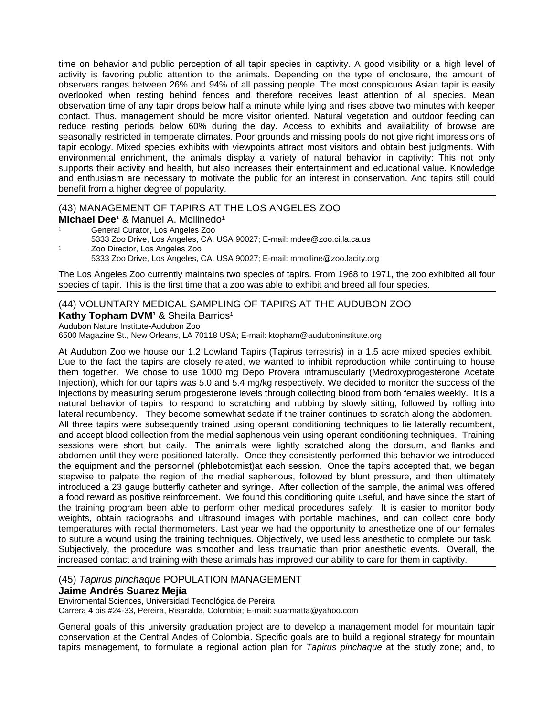time on behavior and public perception of all tapir species in captivity. A good visibility or a high level of activity is favoring public attention to the animals. Depending on the type of enclosure, the amount of observers ranges between 26% and 94% of all passing people. The most conspicuous Asian tapir is easily overlooked when resting behind fences and therefore receives least attention of all species. Mean observation time of any tapir drops below half a minute while lying and rises above two minutes with keeper contact. Thus, management should be more visitor oriented. Natural vegetation and outdoor feeding can reduce resting periods below 60% during the day. Access to exhibits and availability of browse are seasonally restricted in temperate climates. Poor grounds and missing pools do not give right impressions of tapir ecology. Mixed species exhibits with viewpoints attract most visitors and obtain best judgments. With environmental enrichment, the animals display a variety of natural behavior in captivity: This not only supports their activity and health, but also increases their entertainment and educational value. Knowledge and enthusiasm are necessary to motivate the public for an interest in conservation. And tapirs still could benefit from a higher degree of popularity.

## (43) MANAGEMENT OF TAPIRS AT THE LOS ANGELES ZOO

- **Michael Dee<sup>1</sup> & Manuel A. Mollinedo<sup>1</sup>**
- General Curator, Los Angeles Zoo
- 5333 Zoo Drive, Los Angeles, CA, USA 90027; E-mail: mdee@zoo.ci.la.ca.us
- Zoo Director, Los Angeles Zoo

5333 Zoo Drive, Los Angeles, CA, USA 90027; E-mail: mmolline@zoo.lacity.org

The Los Angeles Zoo currently maintains two species of tapirs. From 1968 to 1971, the zoo exhibited all four species of tapir. This is the first time that a zoo was able to exhibit and breed all four species.

## (44) VOLUNTARY MEDICAL SAMPLING OF TAPIRS AT THE AUDUBON ZOO **Kathy Topham DVM<sup>1</sup> & Sheila Barrios<sup>1</sup>**

Audubon Nature Institute-Audubon Zoo

6500 Magazine St., New Orleans, LA 70118 USA; E-mail: ktopham@auduboninstitute.org

At Audubon Zoo we house our 1.2 Lowland Tapirs (Tapirus terrestris) in a 1.5 acre mixed species exhibit. Due to the fact the tapirs are closely related, we wanted to inhibit reproduction while continuing to house them together. We chose to use 1000 mg Depo Provera intramuscularly (Medroxyprogesterone Acetate Injection), which for our tapirs was 5.0 and 5.4 mg/kg respectively. We decided to monitor the success of the injections by measuring serum progesterone levels through collecting blood from both females weekly. It is a natural behavior of tapirs to respond to scratching and rubbing by slowly sitting, followed by rolling into lateral recumbency. They become somewhat sedate if the trainer continues to scratch along the abdomen. All three tapirs were subsequently trained using operant conditioning techniques to lie laterally recumbent, and accept blood collection from the medial saphenous vein using operant conditioning techniques. Training sessions were short but daily. The animals were lightly scratched along the dorsum, and flanks and abdomen until they were positioned laterally. Once they consistently performed this behavior we introduced the equipment and the personnel (phlebotomist)at each session. Once the tapirs accepted that, we began stepwise to palpate the region of the medial saphenous, followed by blunt pressure, and then ultimately introduced a 23 gauge butterfly catheter and syringe. After collection of the sample, the animal was offered a food reward as positive reinforcement. We found this conditioning quite useful, and have since the start of the training program been able to perform other medical procedures safely. It is easier to monitor body weights, obtain radiographs and ultrasound images with portable machines, and can collect core body temperatures with rectal thermometers. Last year we had the opportunity to anesthetize one of our females to suture a wound using the training techniques. Objectively, we used less anesthetic to complete our task. Subjectively, the procedure was smoother and less traumatic than prior anesthetic events. Overall, the increased contact and training with these animals has improved our ability to care for them in captivity.

## (45) *Tapirus pinchaque* POPULATION MANAGEMENT

#### **Jaime Andrés Suarez Mejía**

Enviromental Sciences, Universidad Tecnológica de Pereira

Carrera 4 bis #24-33, Pereira, Risaralda, Colombia; E-mail: suarmatta@yahoo.com

General goals of this university graduation project are to develop a management model for mountain tapir conservation at the Central Andes of Colombia. Specific goals are to build a regional strategy for mountain tapirs management, to formulate a regional action plan for *Tapirus pinchaque* at the study zone; and, to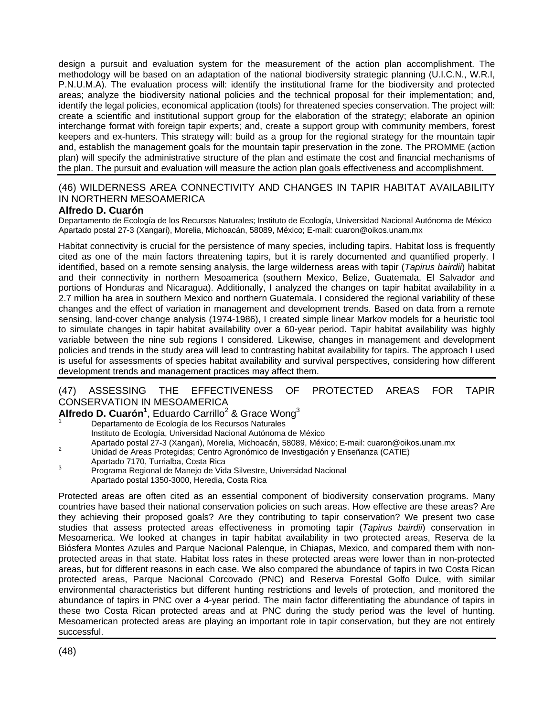design a pursuit and evaluation system for the measurement of the action plan accomplishment. The methodology will be based on an adaptation of the national biodiversity strategic planning (U.I.C.N., W.R.I, P.N.U.M.A). The evaluation process will: identify the institutional frame for the biodiversity and protected areas; analyze the biodiversity national policies and the technical proposal for their implementation; and, identify the legal policies, economical application (tools) for threatened species conservation. The project will: create a scientific and institutional support group for the elaboration of the strategy; elaborate an opinion interchange format with foreign tapir experts; and, create a support group with community members, forest keepers and ex-hunters. This strategy will: build as a group for the regional strategy for the mountain tapir and, establish the management goals for the mountain tapir preservation in the zone. The PROMME (action plan) will specify the administrative structure of the plan and estimate the cost and financial mechanisms of the plan. The pursuit and evaluation will measure the action plan goals effectiveness and accomplishment.

## (46) WILDERNESS AREA CONNECTIVITY AND CHANGES IN TAPIR HABITAT AVAILABILITY IN NORTHERN MESOAMERICA

#### **Alfredo D. Cuarón**

Departamento de Ecología de los Recursos Naturales; Instituto de Ecología, Universidad Nacional Autónoma de México Apartado postal 27-3 (Xangari), Morelia, Michoacán, 58089, México; E-mail: cuaron@oikos.unam.mx

Habitat connectivity is crucial for the persistence of many species, including tapirs. Habitat loss is frequently cited as one of the main factors threatening tapirs, but it is rarely documented and quantified properly. I identified, based on a remote sensing analysis, the large wilderness areas with tapir (*Tapirus bairdii*) habitat and their connectivity in northern Mesoamerica (southern Mexico, Belize, Guatemala, El Salvador and portions of Honduras and Nicaragua). Additionally, I analyzed the changes on tapir habitat availability in a 2.7 million ha area in southern Mexico and northern Guatemala. I considered the regional variability of these changes and the effect of variation in management and development trends. Based on data from a remote sensing, land-cover change analysis (1974-1986), I created simple linear Markov models for a heuristic tool to simulate changes in tapir habitat availability over a 60-year period. Tapir habitat availability was highly variable between the nine sub regions I considered. Likewise, changes in management and development policies and trends in the study area will lead to contrasting habitat availability for tapirs. The approach I used is useful for assessments of species habitat availability and survival perspectives, considering how different development trends and management practices may affect them.

## (47) ASSESSING THE EFFECTIVENESS OF PROTECTED AREAS FOR TAPIR CONSERVATION IN MESOAMERICA

Alfredo D. Cuarón<sup>1</sup>, Eduardo Carrillo<sup>2</sup> & Grace Wong<sup>3</sup>

Departamento de Ecología de los Recursos Naturales Instituto de Ecología, Universidad Nacional Autónoma de México

- Apartado postal 27-3 (Xangari), Morelia, Michoacán, 58089, México; E-mail: cuaron@oikos.unam.mx 2<br>Unidad de Areas Protegidas; Centro Agronómico de Investigación y Enseñanza (CATIE)
- Apartado 7170, Turrialba, Costa Rica<br><sup>3</sup> Programa Regional de Manejo de Vida Silvestre, Universidad Nacional Apartado postal 1350-3000, Heredia, Costa Rica

Protected areas are often cited as an essential component of biodiversity conservation programs. Many countries have based their national conservation policies on such areas. How effective are these areas? Are they achieving their proposed goals? Are they contributing to tapir conservation? We present two case studies that assess protected areas effectiveness in promoting tapir (*Tapirus bairdii*) conservation in Mesoamerica. We looked at changes in tapir habitat availability in two protected areas, Reserva de la Biósfera Montes Azules and Parque Nacional Palenque, in Chiapas, Mexico, and compared them with nonprotected areas in that state. Habitat loss rates in these protected areas were lower than in non-protected areas, but for different reasons in each case. We also compared the abundance of tapirs in two Costa Rican protected areas, Parque Nacional Corcovado (PNC) and Reserva Forestal Golfo Dulce, with similar environmental characteristics but different hunting restrictions and levels of protection, and monitored the abundance of tapirs in PNC over a 4-year period. The main factor differentiating the abundance of tapirs in these two Costa Rican protected areas and at PNC during the study period was the level of hunting. Mesoamerican protected areas are playing an important role in tapir conservation, but they are not entirely successful.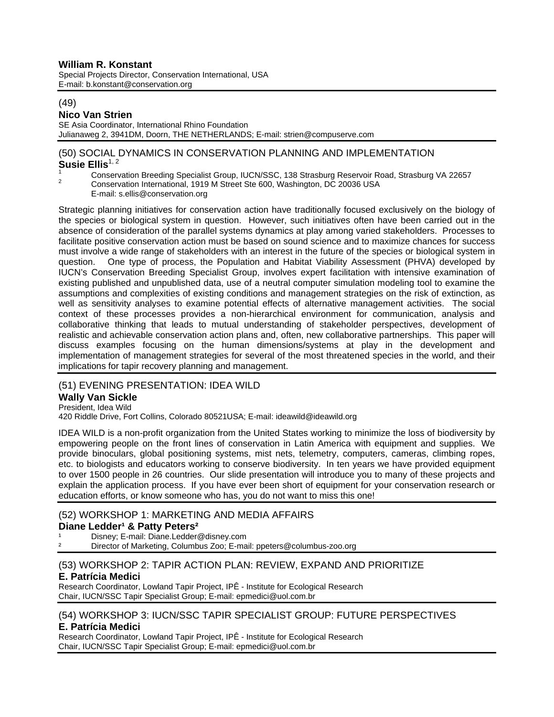## **William R. Konstant**

Special Projects Director, Conservation International, USA E-mail: b.konstant@conservation.org

#### (49)

### **Nico Van Strien**

SE Asia Coordinator, International Rhino Foundation Julianaweg 2, 3941DM, Doorn, THE NETHERLANDS; E-mail: strien@compuserve.com

#### (50) SOCIAL DYNAMICS IN CONSERVATION PLANNING AND IMPLEMENTATION Susie Ellis<sup>1, 2</sup>

- <sup>1</sup> Conservation Breeding Specialist Group, IUCN/SSC, 138 Strasburg Reservoir Road, Strasburg VA 22657<br><sup>2</sup> Conservation International, 1919 M Street Ste 600, Washington, DC 20036 USA
	-
	- E-mail: s.ellis@conservation.org

Strategic planning initiatives for conservation action have traditionally focused exclusively on the biology of the species or biological system in question. However, such initiatives often have been carried out in the absence of consideration of the parallel systems dynamics at play among varied stakeholders. Processes to facilitate positive conservation action must be based on sound science and to maximize chances for success must involve a wide range of stakeholders with an interest in the future of the species or biological system in question. One type of process, the Population and Habitat Viability Assessment (PHVA) developed by IUCN's Conservation Breeding Specialist Group, involves expert facilitation with intensive examination of existing published and unpublished data, use of a neutral computer simulation modeling tool to examine the assumptions and complexities of existing conditions and management strategies on the risk of extinction, as well as sensitivity analyses to examine potential effects of alternative management activities. The social context of these processes provides a non-hierarchical environment for communication, analysis and collaborative thinking that leads to mutual understanding of stakeholder perspectives, development of realistic and achievable conservation action plans and, often, new collaborative partnerships. This paper will discuss examples focusing on the human dimensions/systems at play in the development and implementation of management strategies for several of the most threatened species in the world, and their implications for tapir recovery planning and management.

## (51) EVENING PRESENTATION: IDEA WILD

## **Wally Van Sickle**

President, Idea Wild

420 Riddle Drive, Fort Collins, Colorado 80521USA; E-mail: ideawild@ideawild.org

IDEA WILD is a non-profit organization from the United States working to minimize the loss of biodiversity by empowering people on the front lines of conservation in Latin America with equipment and supplies. We provide binoculars, global positioning systems, mist nets, telemetry, computers, cameras, climbing ropes, etc. to biologists and educators working to conserve biodiversity. In ten years we have provided equipment to over 1500 people in 26 countries. Our slide presentation will introduce you to many of these projects and explain the application process. If you have ever been short of equipment for your conservation research or education efforts, or know someone who has, you do not want to miss this one!

#### (52) WORKSHOP 1: MARKETING AND MEDIA AFFAIRS **Diane Ledder<sup>1</sup> & Patty Peters<sup>2</sup>**

Disney; E-mail: Diane.Ledder@disney.com ² Director of Marketing, Columbus Zoo; E-mail: ppeters@columbus-zoo.org

#### (53) WORKSHOP 2: TAPIR ACTION PLAN: REVIEW, EXPAND AND PRIORITIZE **E. Patrícia Medici**

Research Coordinator, Lowland Tapir Project, IPÊ - Institute for Ecological Research Chair, IUCN/SSC Tapir Specialist Group; E-mail: epmedici@uol.com.br

#### (54) WORKSHOP 3: IUCN/SSC TAPIR SPECIALIST GROUP: FUTURE PERSPECTIVES **E. Patrícia Medici**

Research Coordinator, Lowland Tapir Project, IPÊ - Institute for Ecological Research Chair, IUCN/SSC Tapir Specialist Group; E-mail: epmedici@uol.com.br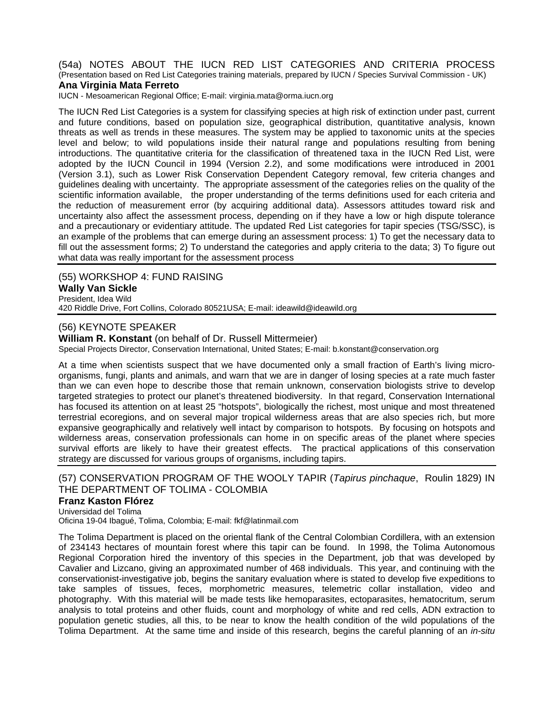(54a) NOTES ABOUT THE IUCN RED LIST CATEGORIES AND CRITERIA PROCESS (Presentation based on Red List Categories training materials, prepared by IUCN / Species Survival Commission - UK)

#### **Ana Virginia Mata Ferreto**

IUCN - Mesoamerican Regional Office; E-mail: virginia.mata@orma.iucn.org

The IUCN Red List Categories is a system for classifying species at high risk of extinction under past, current and future conditions, based on population size, geographical distribution, quantitative analysis, known threats as well as trends in these measures. The system may be applied to taxonomic units at the species level and below; to wild populations inside their natural range and populations resulting from bening introductions. The quantitative criteria for the classification of threatened taxa in the IUCN Red List, were adopted by the IUCN Council in 1994 (Version 2.2), and some modifications were introduced in 2001 (Version 3.1), such as Lower Risk Conservation Dependent Category removal, few criteria changes and guidelines dealing with uncertainty. The appropriate assessment of the categories relies on the quality of the scientific information available, the proper understanding of the terms definitions used for each criteria and the reduction of measurement error (by acquiring additional data). Assessors attitudes toward risk and uncertainty also affect the assessment process, depending on if they have a low or high dispute tolerance and a precautionary or evidentiary attitude. The updated Red List categories for tapir species (TSG/SSC), is an example of the problems that can emerge during an assessment process: 1) To get the necessary data to fill out the assessment forms; 2) To understand the categories and apply criteria to the data; 3) To figure out what data was really important for the assessment process

(55) WORKSHOP 4: FUND RAISING **Wally Van Sickle**  President, Idea Wild 420 Riddle Drive, Fort Collins, Colorado 80521USA; E-mail: ideawild@ideawild.org

#### (56) KEYNOTE SPEAKER

**William R. Konstant** (on behalf of Dr. Russell Mittermeier)

Special Projects Director, Conservation International, United States; E-mail: b.konstant@conservation.org

At a time when scientists suspect that we have documented only a small fraction of Earth's living microorganisms, fungi, plants and animals, and warn that we are in danger of losing species at a rate much faster than we can even hope to describe those that remain unknown, conservation biologists strive to develop targeted strategies to protect our planet's threatened biodiversity. In that regard, Conservation International has focused its attention on at least 25 "hotspots", biologically the richest, most unique and most threatened terrestrial ecoregions, and on several major tropical wilderness areas that are also species rich, but more expansive geographically and relatively well intact by comparison to hotspots. By focusing on hotspots and wilderness areas, conservation professionals can home in on specific areas of the planet where species survival efforts are likely to have their greatest effects. The practical applications of this conservation strategy are discussed for various groups of organisms, including tapirs.

#### (57) CONSERVATION PROGRAM OF THE WOOLY TAPIR (*Tapirus pinchaque*, Roulin 1829) IN THE DEPARTMENT OF TOLIMA - COLOMBIA

#### **Franz Kaston Flórez**

Universidad del Tolima Oficina 19-04 Ibagué, Tolima, Colombia; E-mail: fkf@latinmail.com

The Tolima Department is placed on the oriental flank of the Central Colombian Cordillera, with an extension of 234143 hectares of mountain forest where this tapir can be found. In 1998, the Tolima Autonomous Regional Corporation hired the inventory of this species in the Department, job that was developed by Cavalier and Lizcano, giving an approximated number of 468 individuals. This year, and continuing with the conservationist-investigative job, begins the sanitary evaluation where is stated to develop five expeditions to take samples of tissues, feces, morphometric measures, telemetric collar installation, video and photography. With this material will be made tests like hemoparasites, ectoparasites, hematocritum, serum analysis to total proteins and other fluids, count and morphology of white and red cells, ADN extraction to population genetic studies, all this, to be near to know the health condition of the wild populations of the Tolima Department. At the same time and inside of this research, begins the careful planning of an *in-situ*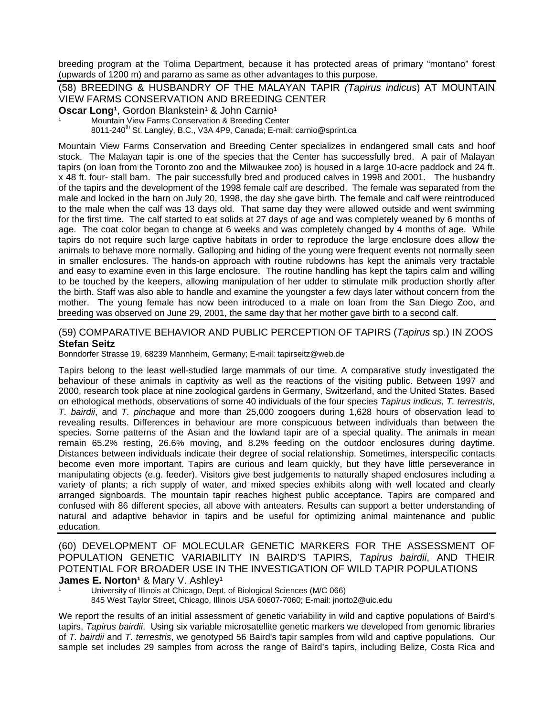breeding program at the Tolima Department, because it has protected areas of primary "montano" forest (upwards of 1200 m) and paramo as same as other advantages to this purpose.

(58) BREEDING & HUSBANDRY OF THE MALAYAN TAPIR *(Tapirus indicus*) AT MOUNTAIN VIEW FARMS CONSERVATION AND BREEDING CENTER

Oscar Long<sup>1</sup>, Gordon Blankstein<sup>1</sup> & John Carnio<sup>1</sup>

Mountain View Farms Conservation & Breeding Center

8011-240<sup>th</sup> St. Langley, B.C., V3A 4P9, Canada; E-mail: carnio@sprint.ca

Mountain View Farms Conservation and Breeding Center specializes in endangered small cats and hoof stock. The Malayan tapir is one of the species that the Center has successfully bred. A pair of Malayan tapirs (on loan from the Toronto zoo and the Milwaukee zoo) is housed in a large 10-acre paddock and 24 ft. x 48 ft. four- stall barn. The pair successfully bred and produced calves in 1998 and 2001. The husbandry of the tapirs and the development of the 1998 female calf are described. The female was separated from the male and locked in the barn on July 20, 1998, the day she gave birth. The female and calf were reintroduced to the male when the calf was 13 days old. That same day they were allowed outside and went swimming for the first time. The calf started to eat solids at 27 days of age and was completely weaned by 6 months of age. The coat color began to change at 6 weeks and was completely changed by 4 months of age. While tapirs do not require such large captive habitats in order to reproduce the large enclosure does allow the animals to behave more normally. Galloping and hiding of the young were frequent events not normally seen in smaller enclosures. The hands-on approach with routine rubdowns has kept the animals very tractable and easy to examine even in this large enclosure. The routine handling has kept the tapirs calm and willing to be touched by the keepers, allowing manipulation of her udder to stimulate milk production shortly after the birth. Staff was also able to handle and examine the youngster a few days later without concern from the mother. The young female has now been introduced to a male on loan from the San Diego Zoo, and breeding was observed on June 29, 2001, the same day that her mother gave birth to a second calf.

#### (59) COMPARATIVE BEHAVIOR AND PUBLIC PERCEPTION OF TAPIRS (*Tapirus* sp.) IN ZOOS **Stefan Seitz**

Bonndorfer Strasse 19, 68239 Mannheim, Germany; E-mail: tapirseitz@web.de

Tapirs belong to the least well-studied large mammals of our time. A comparative study investigated the behaviour of these animals in captivity as well as the reactions of the visiting public. Between 1997 and 2000, research took place at nine zoological gardens in Germany, Switzerland, and the United States. Based on ethological methods, observations of some 40 individuals of the four species *Tapirus indicus*, *T. terrestris*, *T. bairdii*, and *T. pinchaque* and more than 25,000 zoogoers during 1,628 hours of observation lead to revealing results. Differences in behaviour are more conspicuous between individuals than between the species. Some patterns of the Asian and the lowland tapir are of a special quality. The animals in mean remain 65.2% resting, 26.6% moving, and 8.2% feeding on the outdoor enclosures during daytime. Distances between individuals indicate their degree of social relationship. Sometimes, interspecific contacts become even more important. Tapirs are curious and learn quickly, but they have little perseverance in manipulating objects (e.g. feeder). Visitors give best judgements to naturally shaped enclosures including a variety of plants; a rich supply of water, and mixed species exhibits along with well located and clearly arranged signboards. The mountain tapir reaches highest public acceptance. Tapirs are compared and confused with 86 different species, all above with anteaters. Results can support a better understanding of natural and adaptive behavior in tapirs and be useful for optimizing animal maintenance and public education.

(60) DEVELOPMENT OF MOLECULAR GENETIC MARKERS FOR THE ASSESSMENT OF POPULATION GENETIC VARIABILITY IN BAIRD'S TAPIRS, *Tapirus bairdii*, AND THEIR POTENTIAL FOR BROADER USE IN THE INVESTIGATION OF WILD TAPIR POPULATIONS **James E. Norton<sup>1</sup> & Mary V. Ashley<sup>1</sup>** 

University of Illinois at Chicago, Dept. of Biological Sciences (M/C 066) 845 West Taylor Street, Chicago, Illinois USA 60607-7060; E-mail: jnorto2@uic.edu

We report the results of an initial assessment of genetic variability in wild and captive populations of Baird's tapirs, *Tapirus bairdii*. Using six variable microsatellite genetic markers we developed from genomic libraries of *T. bairdii* and *T. terrestris*, we genotyped 56 Baird's tapir samples from wild and captive populations. Our sample set includes 29 samples from across the range of Baird's tapirs, including Belize, Costa Rica and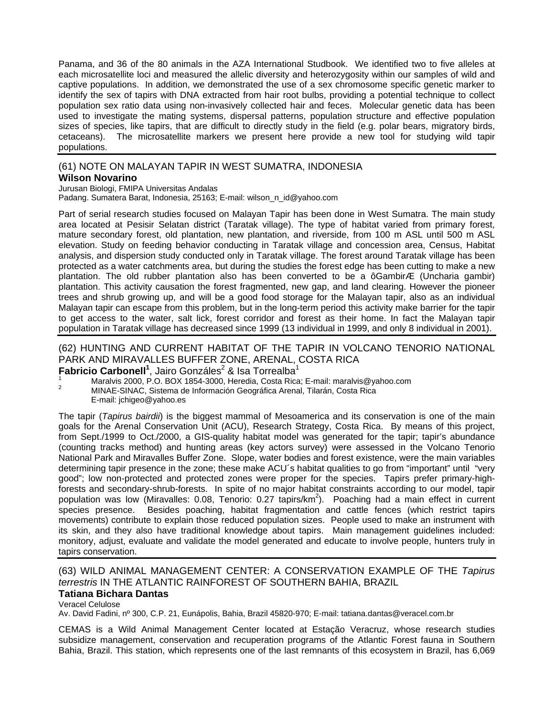Panama, and 36 of the 80 animals in the AZA International Studbook. We identified two to five alleles at each microsatellite loci and measured the allelic diversity and heterozygosity within our samples of wild and captive populations. In addition, we demonstrated the use of a sex chromosome specific genetic marker to identify the sex of tapirs with DNA extracted from hair root bulbs, providing a potential technique to collect population sex ratio data using non-invasively collected hair and feces. Molecular genetic data has been used to investigate the mating systems, dispersal patterns, population structure and effective population sizes of species, like tapirs, that are difficult to directly study in the field (e.g. polar bears, migratory birds, cetaceans). The microsatellite markers we present here provide a new tool for studying wild tapir populations.

## (61) NOTE ON MALAYAN TAPIR IN WEST SUMATRA, INDONESIA

#### **Wilson Novarino**

Jurusan Biologi, FMIPA Universitas Andalas

Padang. Sumatera Barat, Indonesia, 25163; E-mail: wilson\_n\_id@yahoo.com

Part of serial research studies focused on Malayan Tapir has been done in West Sumatra. The main study area located at Pesisir Selatan district (Taratak village). The type of habitat varied from primary forest, mature secondary forest, old plantation, new plantation, and riverside, from 100 m ASL until 500 m ASL elevation. Study on feeding behavior conducting in Taratak village and concession area, Census, Habitat analysis, and dispersion study conducted only in Taratak village. The forest around Taratak village has been protected as a water catchments area, but during the studies the forest edge has been cutting to make a new plantation. The old rubber plantation also has been converted to be a ôGambirÆ (Uncharia gambir) plantation. This activity causation the forest fragmented, new gap, and land clearing. However the pioneer trees and shrub growing up, and will be a good food storage for the Malayan tapir, also as an individual Malayan tapir can escape from this problem, but in the long-term period this activity make barrier for the tapir to get access to the water, salt lick, forest corridor and forest as their home. In fact the Malayan tapir population in Taratak village has decreased since 1999 (13 individual in 1999, and only 8 individual in 2001).

## (62) HUNTING AND CURRENT HABITAT OF THE TAPIR IN VOLCANO TENORIO NATIONAL PARK AND MIRAVALLES BUFFER ZONE, ARENAL, COSTA RICA

## Fabricio Carbonell<sup>1</sup>, Jairo Gonzáles<sup>2</sup> & Isa Torrealba<sup>1</sup>

1 Maralvis 2000, P.O. BOX 1854-3000, Heredia, Costa Rica; E-mail: maralvis@yahoo.com<br>2 MINAE-SINAC, Sistema de Información Geográfica Arenal, Tilarán, Costa Rica E-mail: jchigeo@yahoo.es

The tapir (*Tapirus bairdii*) is the biggest mammal of Mesoamerica and its conservation is one of the main goals for the Arenal Conservation Unit (ACU), Research Strategy, Costa Rica. By means of this project, from Sept./1999 to Oct./2000, a GIS-quality habitat model was generated for the tapir; tapir's abundance (counting tracks method) and hunting areas (key actors survey) were assessed in the Volcano Tenorio National Park and Miravalles Buffer Zone. Slope, water bodies and forest existence, were the main variables determining tapir presence in the zone; these make ACU´s habitat qualities to go from "important" until "very good"; low non-protected and protected zones were proper for the species. Tapirs prefer primary-highforests and secondary-shrub-forests. In spite of no major habitat constraints according to our model, tapir population was low (Miravalles: 0.08, Tenorio: 0.27 tapirs/km<sup>2</sup>). Poaching had a main effect in current species presence. Besides poaching, habitat fragmentation and cattle fences (which restrict tapirs movements) contribute to explain those reduced population sizes. People used to make an instrument with its skin, and they also have traditional knowledge about tapirs. Main management guidelines included: monitory, adjust, evaluate and validate the model generated and educate to involve people, hunters truly in tapirs conservation.

## (63) WILD ANIMAL MANAGEMENT CENTER: A CONSERVATION EXAMPLE OF THE *Tapirus terrestris* IN THE ATLANTIC RAINFOREST OF SOUTHERN BAHIA, BRAZIL

## **Tatiana Bichara Dantas**

Veracel Celulose

Av. David Fadini, nº 300, C.P. 21, Eunápolis, Bahia, Brazil 45820-970; E-mail: tatiana.dantas@veracel.com.br

CEMAS is a Wild Animal Management Center located at Estação Veracruz, whose research studies subsidize management, conservation and recuperation programs of the Atlantic Forest fauna in Southern Bahia, Brazil. This station, which represents one of the last remnants of this ecosystem in Brazil, has 6,069